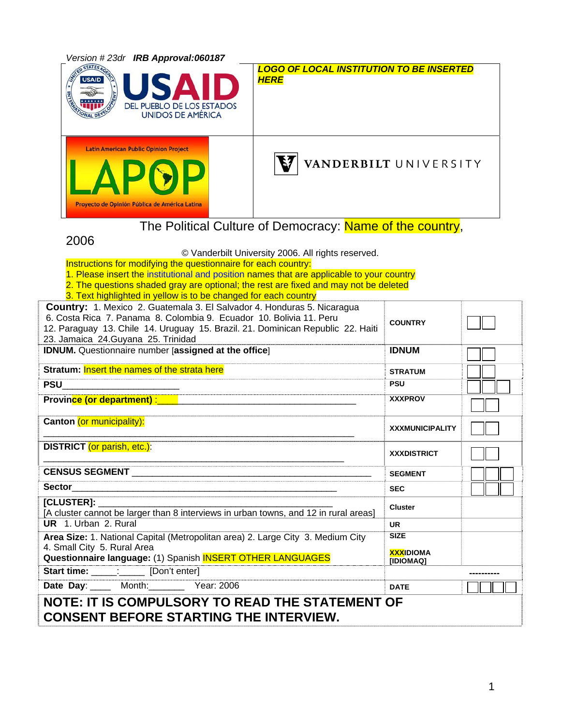

**NOTE: IT IS COMPULSORY TO READ THE STATEMENT OF CONSENT BEFORE STARTING THE INTERVIEW.**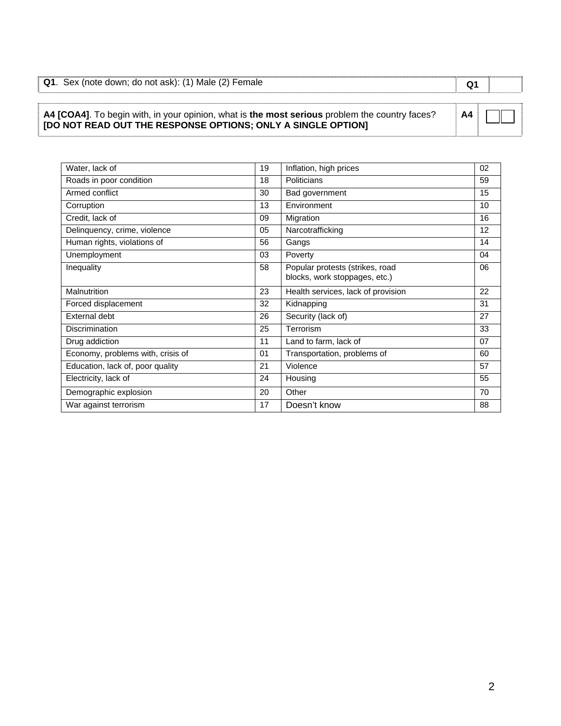| Q1. Sex (note down; do not ask): (1) Male (2) Female |  |
|------------------------------------------------------|--|

#### **A4 [COA4]**. To begin with, in your opinion, what is **the most serious** problem the country faces? **[DO NOT READ OUT THE RESPONSE OPTIONS; ONLY A SINGLE OPTION] A4**

| Water, lack of                    | 19 | Inflation, high prices                                           | 02 |
|-----------------------------------|----|------------------------------------------------------------------|----|
| Roads in poor condition           | 18 | Politicians                                                      | 59 |
| Armed conflict                    | 30 | Bad government                                                   | 15 |
| Corruption                        | 13 | Environment                                                      | 10 |
| Credit, lack of                   | 09 | Migration                                                        | 16 |
| Delinquency, crime, violence      | 05 | Narcotrafficking                                                 | 12 |
| Human rights, violations of       | 56 | Gangs                                                            | 14 |
| Unemployment                      | 03 | Poverty                                                          | 04 |
| Inequality                        | 58 | Popular protests (strikes, road<br>blocks, work stoppages, etc.) | 06 |
| Malnutrition                      | 23 | Health services, lack of provision                               | 22 |
| Forced displacement               | 32 | Kidnapping                                                       | 31 |
| <b>External debt</b>              | 26 | Security (lack of)                                               | 27 |
| <b>Discrimination</b>             | 25 | Terrorism                                                        | 33 |
| Drug addiction                    | 11 | Land to farm, lack of                                            | 07 |
| Economy, problems with, crisis of | 01 | Transportation, problems of                                      | 60 |
| Education, lack of, poor quality  | 21 | Violence                                                         | 57 |
| Electricity, lack of              | 24 | Housing                                                          | 55 |
| Demographic explosion             | 20 | Other                                                            | 70 |
| War against terrorism             | 17 | Doesn't know                                                     | 88 |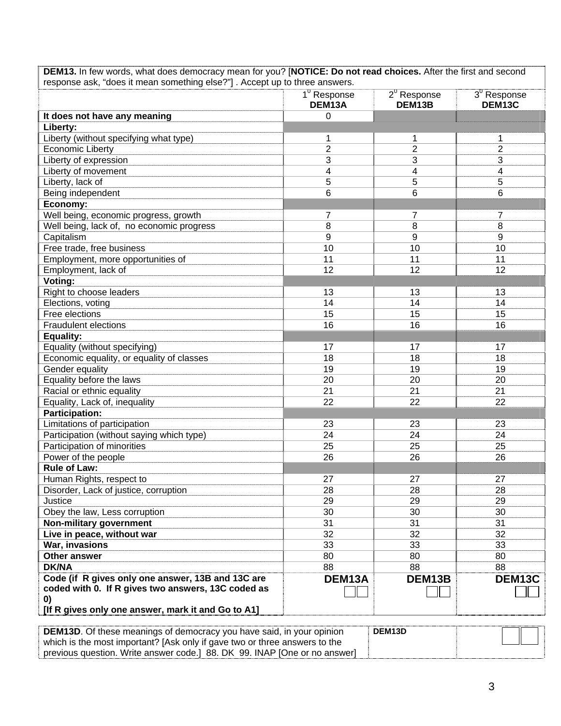| DEM13. In few words, what does democracy mean for you? [NOTICE: Do not read choices. After the first and second |
|-----------------------------------------------------------------------------------------------------------------|
| response ask, "does it mean something else?" ]. Accept up to three answers.                                     |

| It does not have any meaning<br>0<br>Liberty:<br>Liberty (without specifying what type)<br>1<br>1<br>1<br>$\overline{2}$<br>$\overline{2}$<br>$\overline{2}$<br><b>Economic Liberty</b><br>3<br>Liberty of expression<br>3<br>3<br>4<br>Liberty of movement<br>4<br>4<br>5<br>Liberty, lack of<br>5<br>5<br>6<br>6<br>Being independent<br>6<br>Economy:<br>Well being, economic progress, growth<br>7<br>7<br>7<br>8<br>8<br>Well being, lack of, no economic progress<br>8<br>9<br>Capitalism<br>9<br>9<br>Free trade, free business<br>10<br>10<br>10<br>Employment, more opportunities of<br>11<br>11<br>11 |        |
|-----------------------------------------------------------------------------------------------------------------------------------------------------------------------------------------------------------------------------------------------------------------------------------------------------------------------------------------------------------------------------------------------------------------------------------------------------------------------------------------------------------------------------------------------------------------------------------------------------------------|--------|
|                                                                                                                                                                                                                                                                                                                                                                                                                                                                                                                                                                                                                 |        |
|                                                                                                                                                                                                                                                                                                                                                                                                                                                                                                                                                                                                                 |        |
|                                                                                                                                                                                                                                                                                                                                                                                                                                                                                                                                                                                                                 |        |
|                                                                                                                                                                                                                                                                                                                                                                                                                                                                                                                                                                                                                 |        |
|                                                                                                                                                                                                                                                                                                                                                                                                                                                                                                                                                                                                                 |        |
|                                                                                                                                                                                                                                                                                                                                                                                                                                                                                                                                                                                                                 |        |
|                                                                                                                                                                                                                                                                                                                                                                                                                                                                                                                                                                                                                 |        |
|                                                                                                                                                                                                                                                                                                                                                                                                                                                                                                                                                                                                                 |        |
|                                                                                                                                                                                                                                                                                                                                                                                                                                                                                                                                                                                                                 |        |
|                                                                                                                                                                                                                                                                                                                                                                                                                                                                                                                                                                                                                 |        |
|                                                                                                                                                                                                                                                                                                                                                                                                                                                                                                                                                                                                                 |        |
|                                                                                                                                                                                                                                                                                                                                                                                                                                                                                                                                                                                                                 |        |
|                                                                                                                                                                                                                                                                                                                                                                                                                                                                                                                                                                                                                 |        |
|                                                                                                                                                                                                                                                                                                                                                                                                                                                                                                                                                                                                                 |        |
| 12<br>Employment, lack of<br>12<br>12                                                                                                                                                                                                                                                                                                                                                                                                                                                                                                                                                                           |        |
| Voting:                                                                                                                                                                                                                                                                                                                                                                                                                                                                                                                                                                                                         |        |
| Right to choose leaders<br>13<br>13<br>13                                                                                                                                                                                                                                                                                                                                                                                                                                                                                                                                                                       |        |
| Elections, voting<br>14<br>14<br>14                                                                                                                                                                                                                                                                                                                                                                                                                                                                                                                                                                             |        |
| Free elections<br>15<br>15<br>15                                                                                                                                                                                                                                                                                                                                                                                                                                                                                                                                                                                |        |
| <b>Fraudulent elections</b><br>16<br>16<br>16                                                                                                                                                                                                                                                                                                                                                                                                                                                                                                                                                                   |        |
| <b>Equality:</b>                                                                                                                                                                                                                                                                                                                                                                                                                                                                                                                                                                                                |        |
| Equality (without specifying)<br>17<br>17<br>17                                                                                                                                                                                                                                                                                                                                                                                                                                                                                                                                                                 |        |
| Economic equality, or equality of classes<br>18<br>18<br>18                                                                                                                                                                                                                                                                                                                                                                                                                                                                                                                                                     |        |
| Gender equality<br>19<br>19<br>19                                                                                                                                                                                                                                                                                                                                                                                                                                                                                                                                                                               |        |
| Equality before the laws<br>20<br>20<br>20                                                                                                                                                                                                                                                                                                                                                                                                                                                                                                                                                                      |        |
| Racial or ethnic equality<br>21<br>21<br>21                                                                                                                                                                                                                                                                                                                                                                                                                                                                                                                                                                     |        |
| 22<br>Equality, Lack of, inequality<br>22<br>22                                                                                                                                                                                                                                                                                                                                                                                                                                                                                                                                                                 |        |
| <b>Participation:</b>                                                                                                                                                                                                                                                                                                                                                                                                                                                                                                                                                                                           |        |
| Limitations of participation<br>23<br>23<br>23                                                                                                                                                                                                                                                                                                                                                                                                                                                                                                                                                                  |        |
| Participation (without saying which type)<br>24<br>24<br>24                                                                                                                                                                                                                                                                                                                                                                                                                                                                                                                                                     |        |
| Participation of minorities<br>25<br>25<br>25                                                                                                                                                                                                                                                                                                                                                                                                                                                                                                                                                                   |        |
| Power of the people<br>26<br>26<br>26                                                                                                                                                                                                                                                                                                                                                                                                                                                                                                                                                                           |        |
| <b>Rule of Law:</b>                                                                                                                                                                                                                                                                                                                                                                                                                                                                                                                                                                                             |        |
| Human Rights, respect to<br>27<br>27<br>27                                                                                                                                                                                                                                                                                                                                                                                                                                                                                                                                                                      |        |
| 28<br>28<br>Disorder, Lack of justice, corruption<br>28                                                                                                                                                                                                                                                                                                                                                                                                                                                                                                                                                         |        |
| Justice<br>29<br>29<br>29                                                                                                                                                                                                                                                                                                                                                                                                                                                                                                                                                                                       |        |
| Obey the law, Less corruption<br>30<br>30<br>30                                                                                                                                                                                                                                                                                                                                                                                                                                                                                                                                                                 |        |
| 31<br>Non-military government<br>31<br>31                                                                                                                                                                                                                                                                                                                                                                                                                                                                                                                                                                       |        |
| Live in peace, without war<br>32<br>32<br>32                                                                                                                                                                                                                                                                                                                                                                                                                                                                                                                                                                    |        |
| War, invasions<br>33<br>33<br>33                                                                                                                                                                                                                                                                                                                                                                                                                                                                                                                                                                                |        |
| Other answer<br>80<br>80<br>80                                                                                                                                                                                                                                                                                                                                                                                                                                                                                                                                                                                  |        |
| <b>DK/NA</b><br>88<br>88<br>88                                                                                                                                                                                                                                                                                                                                                                                                                                                                                                                                                                                  |        |
| Code (if R gives only one answer, 13B and 13C are<br>DEM13A<br>DEM13B                                                                                                                                                                                                                                                                                                                                                                                                                                                                                                                                           | DEM13C |
| coded with 0. If R gives two answers, 13C coded as                                                                                                                                                                                                                                                                                                                                                                                                                                                                                                                                                              |        |
| 0)<br>[If R gives only one answer, mark it and Go to A1]                                                                                                                                                                                                                                                                                                                                                                                                                                                                                                                                                        |        |

| <b>DEM13D.</b> Of these meanings of democracy you have said, in your opinion | DEM <sub>13</sub> D |  |
|------------------------------------------------------------------------------|---------------------|--|
| which is the most important? [Ask only if gave two or three answers to the   |                     |  |
| previous question. Write answer code.] 88. DK 99. INAP [One or no answer]    |                     |  |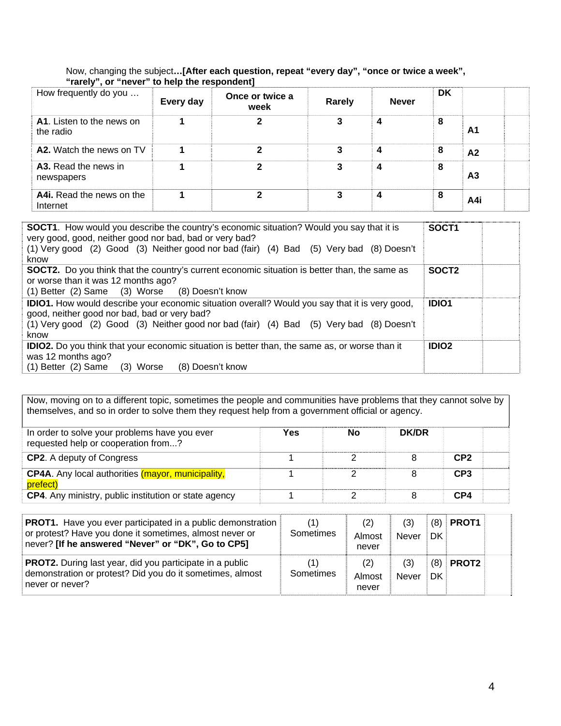#### Now, changing the subject**…[After each question, repeat "every day", "once or twice a week", "rarely", or "never" to help the respondent]**

| How frequently do you                         | .<br>Every day | Once or twice a<br>week | Rarely | <b>Never</b> | DK |                |
|-----------------------------------------------|----------------|-------------------------|--------|--------------|----|----------------|
| <b>A1.</b> Listen to the news on<br>the radio |                | כי                      | 3      | 4            | 8  | A1             |
| A2. Watch the news on TV                      |                |                         |        | 4            | 8  | A <sub>2</sub> |
| A3. Read the news in<br>newspapers            |                | າ                       | 3      | 4            | 8  | A <sub>3</sub> |
| A4i. Read the news on the<br>Internet         |                | ≏                       | 3      | 4            | 8  | A4i            |

| <b>SOCT1.</b> How would you describe the country's economic situation? Would you say that it is<br>very good, good, neither good nor bad, bad or very bad?<br>(1) Very good (2) Good (3) Neither good nor bad (fair) (4) Bad (5) Very bad (8) Doesn't<br>know | SOCT <sub>1</sub> |
|---------------------------------------------------------------------------------------------------------------------------------------------------------------------------------------------------------------------------------------------------------------|-------------------|
| <b>SOCT2.</b> Do you think that the country's current economic situation is better than, the same as<br>or worse than it was 12 months ago?<br>(1) Better (2) Same (3) Worse (8) Doesn't know                                                                 | SOCT <sub>2</sub> |
| <b>IDIO1.</b> How would describe your economic situation overall? Would you say that it is very good,<br>good, neither good nor bad, bad or very bad?<br>(1) Very good (2) Good (3) Neither good nor bad (fair) (4) Bad (5) Very bad (8) Doesn't<br>know      | <b>IDIO1</b>      |
| <b>IDIO2.</b> Do you think that your economic situation is better than, the same as, or worse than it<br>was 12 months ago?<br>$(1)$ Better $(2)$ Same $(3)$ Worse<br>(8) Doesn't know                                                                        | <b>IDIO2</b>      |

Now, moving on to a different topic, sometimes the people and communities have problems that they cannot solve by themselves, and so in order to solve them they request help from a government official or agency.

| In order to solve your problems have you ever<br>requested help or cooperation from? | Yes | No | <b>DK/DR</b> |                 |  |
|--------------------------------------------------------------------------------------|-----|----|--------------|-----------------|--|
| <b>CP2.</b> A deputy of Congress                                                     |     |    |              | CP <sub>2</sub> |  |
| <b>CP4A.</b> Any local authorities (mayor, municipality,<br>prefect)                 |     |    |              | CP3             |  |
| <b>CP4.</b> Any ministry, public institution or state agency                         |     |    |              | CP4             |  |

| <b>PROT1.</b> Have you ever participated in a public demonstration<br>or protest? Have you done it sometimes, almost never or<br>never? [If he answered "Never" or "DK", Go to CP5] | (1)<br>Sometimes | (2)<br>Almost<br>never | (3)<br>Never        | (8)<br>DK | PROT <sub>1</sub> |  |
|-------------------------------------------------------------------------------------------------------------------------------------------------------------------------------------|------------------|------------------------|---------------------|-----------|-------------------|--|
| <b>PROT2.</b> During last year, did you participate in a public<br>demonstration or protest? Did you do it sometimes, almost<br>never or never?                                     | (1)<br>Sometimes | (2)<br>Almost<br>never | (3)<br><b>Never</b> | (8)<br>DK | <b>PROT2</b>      |  |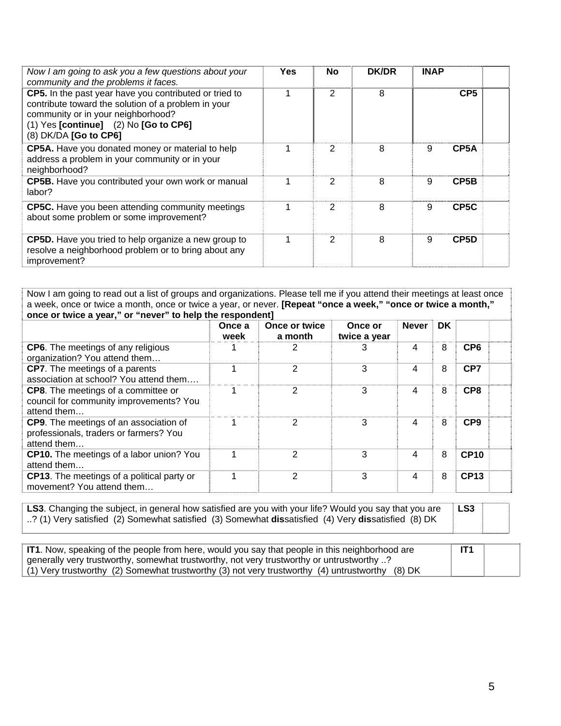| Now I am going to ask you a few questions about your<br>community and the problems it faces.                                                                                                                              | Yes | <b>No</b>     | <b>DK/DR</b> | <b>INAP</b> |                   |
|---------------------------------------------------------------------------------------------------------------------------------------------------------------------------------------------------------------------------|-----|---------------|--------------|-------------|-------------------|
| CP5. In the past year have you contributed or tried to<br>contribute toward the solution of a problem in your<br>community or in your neighborhood?<br>$(1)$ Yes [continue] $(2)$ No [Go to CP6]<br>(8) DK/DA [Go to CP6] |     | 2             | 8            |             | CP <sub>5</sub>   |
| CP5A. Have you donated money or material to help<br>address a problem in your community or in your<br>neighborhood?                                                                                                       |     | 2             | 8            | 9           | CP <sub>5</sub> A |
| <b>CP5B.</b> Have you contributed your own work or manual<br>labor?                                                                                                                                                       |     | $\mathcal{P}$ | 8            | 9           | CP <sub>5</sub> B |
| <b>CP5C.</b> Have you been attending community meetings<br>about some problem or some improvement?                                                                                                                        | 4   | 2             | 8            | 9           | CP <sub>5</sub> C |
| <b>CP5D.</b> Have you tried to help organize a new group to<br>resolve a neighborhood problem or to bring about any<br>improvement?                                                                                       | 4   | 2             | 8            | 9           | CP <sub>5</sub> D |

Now I am going to read out a list of groups and organizations. Please tell me if you attend their meetings at least once a week, once or twice a month, once or twice a year, or never. **[Repeat "once a week," "once or twice a month," once or twice a year," or "never" to help the respondent]** 

|                                                                                                      | Once a<br>week | Once or twice<br>a month | Once or<br>twice a year | <b>Never</b> | <b>DK</b> |                 |
|------------------------------------------------------------------------------------------------------|----------------|--------------------------|-------------------------|--------------|-----------|-----------------|
| <b>CP6.</b> The meetings of any religious<br>organization? You attend them                           |                | 2                        | З                       | 4            | 8         | CP <sub>6</sub> |
| <b>CP7.</b> The meetings of a parents<br>association at school? You attend them                      |                | 2                        | 3                       | 4            | 8         | CP7             |
| <b>CP8.</b> The meetings of a committee or<br>council for community improvements? You<br>attend them |                | 2                        | 3                       | 4            | 8         | CP <sub>8</sub> |
| CP9. The meetings of an association of<br>professionals, traders or farmers? You<br>attend them      |                | $\overline{2}$           | 3                       | 4            | 8         | CP <sub>9</sub> |
| <b>CP10.</b> The meetings of a labor union? You<br>attend them                                       |                | 2                        | 3                       | 4            | 8         | <b>CP10</b>     |
| <b>CP13.</b> The meetings of a political party or<br>movement? You attend them                       |                | 2                        | 3                       | 4            | 8         | <b>CP13</b>     |

**LS3**. Changing the subject, in general how satisfied are you with your life? Would you say that you are ..? (1) Very satisfied (2) Somewhat satisfied (3) Somewhat **dis**satisfied (4) Very **dis**satisfied (8) DK

**LS3** 

| IT1. Now, speaking of the people from here, would you say that people in this neighborhood are  | IT <sub>1</sub> |  |
|-------------------------------------------------------------------------------------------------|-----------------|--|
| generally very trustworthy, somewhat trustworthy, not very trustworthy or untrustworthy ?       |                 |  |
| (1) Very trustworthy (2) Somewhat trustworthy (3) not very trustworthy (4) untrustworthy (8) DK |                 |  |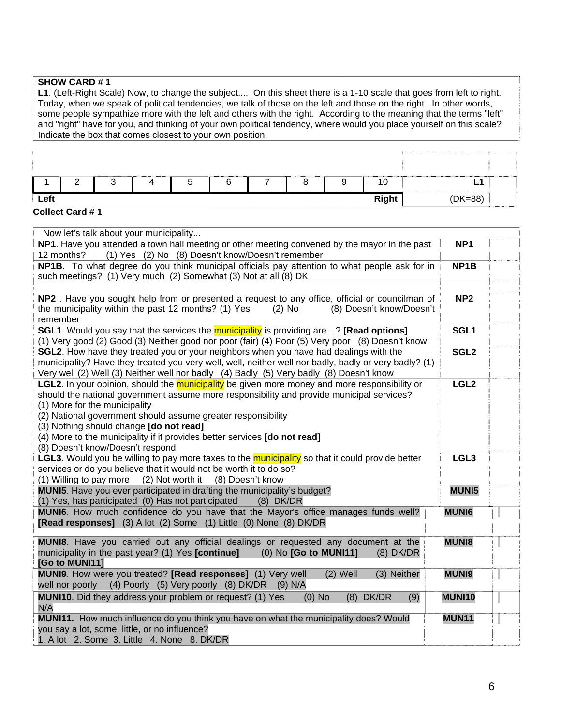#### **SHOW CARD # 1**

**L1**. (Left-Right Scale) Now, to change the subject.... On this sheet there is a 1-10 scale that goes from left to right. Today, when we speak of political tendencies, we talk of those on the left and those on the right. In other words, some people sympathize more with the left and others with the right. According to the meaning that the terms "left" and "right" have for you, and thinking of your own political tendency, where would you place yourself on this scale? Indicate the box that comes closest to your own position.

|      | ◠ |  | ∽<br>ັ |  |  | 10           | ь.        |  |
|------|---|--|--------|--|--|--------------|-----------|--|
| Left |   |  |        |  |  | <b>Right</b> | $(DK=88)$ |  |

#### **Collect Card # 1**

| Now let's talk about your municipality                                                                                                                                                                                                                                                                                                                                                                                                                         |                   |  |
|----------------------------------------------------------------------------------------------------------------------------------------------------------------------------------------------------------------------------------------------------------------------------------------------------------------------------------------------------------------------------------------------------------------------------------------------------------------|-------------------|--|
| NP1. Have you attended a town hall meeting or other meeting convened by the mayor in the past<br>(1) Yes (2) No (8) Doesn't know/Doesn't remember<br>12 months?                                                                                                                                                                                                                                                                                                | NP <sub>1</sub>   |  |
| NP1B. To what degree do you think municipal officials pay attention to what people ask for in<br>such meetings? (1) Very much (2) Somewhat (3) Not at all (8) DK                                                                                                                                                                                                                                                                                               | NP <sub>1</sub> B |  |
| NP2. Have you sought help from or presented a request to any office, official or councilman of<br>the municipality within the past 12 months? (1) Yes<br>$(2)$ No<br>(8) Doesn't know/Doesn't<br>remember                                                                                                                                                                                                                                                      | NP <sub>2</sub>   |  |
| <b>SGL1.</b> Would you say that the services the municipality is providing are? [Read options]<br>(1) Very good (2) Good (3) Neither good nor poor (fair) (4) Poor (5) Very poor (8) Doesn't know                                                                                                                                                                                                                                                              | SGL1              |  |
| SGL2. How have they treated you or your neighbors when you have had dealings with the<br>municipality? Have they treated you very well, well, neither well nor badly, badly or very badly? (1)<br>Very well (2) Well (3) Neither well nor badly (4) Badly (5) Very badly (8) Doesn't know                                                                                                                                                                      | SGL <sub>2</sub>  |  |
| <b>LGL2.</b> In your opinion, should the municipality be given more money and more responsibility or<br>should the national government assume more responsibility and provide municipal services?<br>(1) More for the municipality<br>(2) National government should assume greater responsibility<br>(3) Nothing should change [do not read]<br>(4) More to the municipality if it provides better services [do not read]<br>(8) Doesn't know/Doesn't respond | LGL <sub>2</sub>  |  |
| <b>LGL3.</b> Would you be willing to pay more taxes to the <b>municipality</b> so that it could provide better<br>services or do you believe that it would not be worth it to do so?<br>(2) Not worth it<br>(1) Willing to pay more<br>(8) Doesn't know                                                                                                                                                                                                        | LGL <sub>3</sub>  |  |
| MUNI5. Have you ever participated in drafting the municipality's budget?<br>(1) Yes, has participated (0) Has not participated<br>$(8)$ DK/DR                                                                                                                                                                                                                                                                                                                  | <b>MUNI5</b>      |  |
| MUNI6. How much confidence do you have that the Mayor's office manages funds well?<br>[Read responses] (3) A lot (2) Some (1) Little (0) None (8) DK/DR                                                                                                                                                                                                                                                                                                        | <b>MUNI6</b>      |  |
| MUNI8. Have you carried out any official dealings or requested any document at the<br>municipality in the past year? (1) Yes [continue]<br>(0) No [Go to MUNI11]<br>$(8)$ DK/DR<br>[Go to MUNI11]                                                                                                                                                                                                                                                              | <b>MUNI8</b>      |  |
| MUNI9. How were you treated? [Read responses] (1) Very well<br>$(2)$ Well<br>(3) Neither<br>(4) Poorly (5) Very poorly (8) DK/DR (9) N/A<br>well nor poorly                                                                                                                                                                                                                                                                                                    | <b>MUNI9</b>      |  |
| MUNI10. Did they address your problem or request? (1) Yes<br>$(8)$ DK/DR<br>$(0)$ No<br>(9)<br>N/A                                                                                                                                                                                                                                                                                                                                                             | <b>MUNI10</b>     |  |
| MUNI11. How much influence do you think you have on what the municipality does? Would<br>you say a lot, some, little, or no influence?<br>1. A lot 2. Some 3. Little 4. None 8. DK/DR                                                                                                                                                                                                                                                                          | <b>MUN11</b>      |  |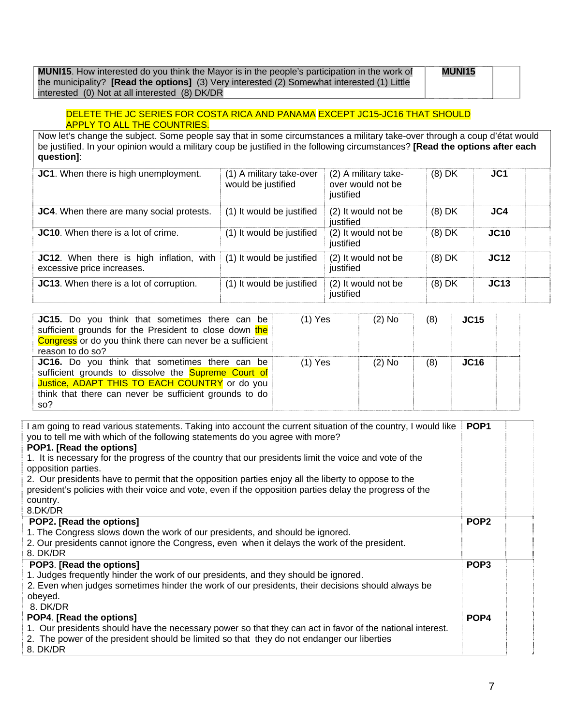**MUNI15**. How interested do you think the Mayor is in the people's participation in the work of the municipality? **[Read the options]** (3) Very interested (2) Somewhat interested (1) Little interested (0) Not at all interested (8) DK/DR

**MUNI15** 

#### DELETE THE JC SERIES FOR COSTA RICA AND PANAMA EXCEPT JC15-JC16 THAT SHOULD APPLY TO ALL THE COUNTRIES.

Now let's change the subject. Some people say that in some circumstances a military take-over through a coup d'état would be justified. In your opinion would a military coup be justified in the following circumstances? **[Read the options after each question]**:

| JC1. When there is high unemployment.                                         | (1) A military take-over<br>would be justified | (2) A military take-<br>over would not be<br>justified | $(8)$ DK | JC <sub>1</sub> |  |
|-------------------------------------------------------------------------------|------------------------------------------------|--------------------------------------------------------|----------|-----------------|--|
| JC4. When there are many social protests.                                     | (1) It would be justified                      | (2) It would not be<br>justified                       | $(8)$ DK | JC4             |  |
| <b>JC10.</b> When there is a lot of crime.                                    | (1) It would be justified                      | (2) It would not be<br>justified                       | $(8)$ DK | <b>JC10</b>     |  |
| <b>JC12.</b> When there is high inflation, with<br>excessive price increases. | (1) It would be justified                      | (2) It would not be<br>justified                       | $(8)$ DK | JC12            |  |
| JC13. When there is a lot of corruption.                                      | (1) It would be justified                      | (2) It would not be<br>justified                       | $(8)$ DK | JC13            |  |

| <b>JC15.</b> Do you think that sometimes there can be<br>sufficient grounds for the President to close down the<br>Congress or do you think there can never be a sufficient<br>reason to do so?                                | $(1)$ Yes | $(2)$ No | (8) | <b>JC15</b>       |  |
|--------------------------------------------------------------------------------------------------------------------------------------------------------------------------------------------------------------------------------|-----------|----------|-----|-------------------|--|
| JC16. Do you think that sometimes there can be<br>sufficient grounds to dissolve the <b>Supreme Court of</b><br>Justice, ADAPT THIS TO EACH COUNTRY or do you<br>think that there can never be sufficient grounds to do<br>so? | $(1)$ Yes | $(2)$ No | (8) | J <sub>C</sub> 16 |  |

| I am going to read various statements. Taking into account the current situation of the country, I would like<br>you to tell me with which of the following statements do you agree with more?<br>POP1. [Read the options]<br>1. It is necessary for the progress of the country that our presidents limit the voice and vote of the | POP <sub>1</sub> |  |
|--------------------------------------------------------------------------------------------------------------------------------------------------------------------------------------------------------------------------------------------------------------------------------------------------------------------------------------|------------------|--|
| opposition parties.<br>2. Our presidents have to permit that the opposition parties enjoy all the liberty to oppose to the                                                                                                                                                                                                           |                  |  |
| president's policies with their voice and vote, even if the opposition parties delay the progress of the<br>country.<br>8.DK/DR                                                                                                                                                                                                      |                  |  |
| POP2. [Read the options]                                                                                                                                                                                                                                                                                                             | POP <sub>2</sub> |  |
| 1. The Congress slows down the work of our presidents, and should be ignored.<br>2. Our presidents cannot ignore the Congress, even when it delays the work of the president.<br>8. DK/DR                                                                                                                                            |                  |  |
| POP3. [Read the options]<br>1. Judges frequently hinder the work of our presidents, and they should be ignored.<br>2. Even when judges sometimes hinder the work of our presidents, their decisions should always be                                                                                                                 | POP <sub>3</sub> |  |
| obeyed.                                                                                                                                                                                                                                                                                                                              |                  |  |
| 8. DK/DR                                                                                                                                                                                                                                                                                                                             |                  |  |
| POP4. [Read the options]                                                                                                                                                                                                                                                                                                             | POP <sub>4</sub> |  |
| 1. Our presidents should have the necessary power so that they can act in favor of the national interest.                                                                                                                                                                                                                            |                  |  |
| 2. The power of the president should be limited so that they do not endanger our liberties<br>8. DK/DR                                                                                                                                                                                                                               |                  |  |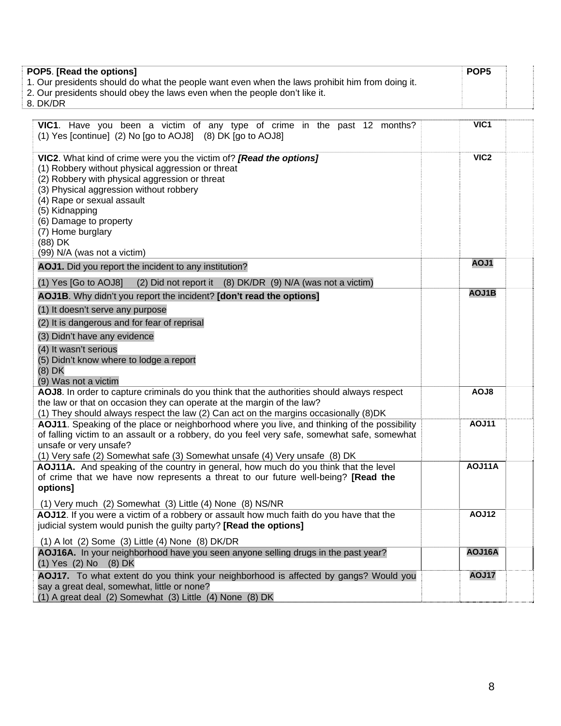| POP5. [Read the options]                                                                        | POP <sub>5</sub> |  |
|-------------------------------------------------------------------------------------------------|------------------|--|
| 1. Our presidents should do what the people want even when the laws prohibit him from doing it. |                  |  |
| 2. Our presidents should obey the laws even when the people don't like it.                      |                  |  |
| 8. DK/DR                                                                                        |                  |  |

| VIC1. Have you been a victim of any type of crime in the past 12 months?                                                                                                                                                                                                                                                                                       | VIC1             |
|----------------------------------------------------------------------------------------------------------------------------------------------------------------------------------------------------------------------------------------------------------------------------------------------------------------------------------------------------------------|------------------|
| (1) Yes [continue] (2) No [go to AOJ8] (8) DK [go to AOJ8]                                                                                                                                                                                                                                                                                                     |                  |
| VIC2. What kind of crime were you the victim of? [Read the options]<br>(1) Robbery without physical aggression or threat<br>(2) Robbery with physical aggression or threat<br>(3) Physical aggression without robbery<br>(4) Rape or sexual assault<br>(5) Kidnapping<br>(6) Damage to property<br>(7) Home burglary<br>(88) DK<br>(99) N/A (was not a victim) | VIC <sub>2</sub> |
| AOJ1. Did you report the incident to any institution?                                                                                                                                                                                                                                                                                                          | AOJ1             |
| $(1)$ Yes [Go to AOJ8]<br>(2) Did not report it (8) DK/DR (9) N/A (was not a victim)                                                                                                                                                                                                                                                                           |                  |
| AOJ1B. Why didn't you report the incident? [don't read the options]                                                                                                                                                                                                                                                                                            | AOJ1B            |
| (1) It doesn't serve any purpose                                                                                                                                                                                                                                                                                                                               |                  |
| (2) It is dangerous and for fear of reprisal                                                                                                                                                                                                                                                                                                                   |                  |
| (3) Didn't have any evidence                                                                                                                                                                                                                                                                                                                                   |                  |
| (4) It wasn't serious                                                                                                                                                                                                                                                                                                                                          |                  |
| (5) Didn't know where to lodge a report<br>(8) DK                                                                                                                                                                                                                                                                                                              |                  |
| (9) Was not a victim                                                                                                                                                                                                                                                                                                                                           |                  |
| AOJ8. In order to capture criminals do you think that the authorities should always respect                                                                                                                                                                                                                                                                    | AOJ8             |
| the law or that on occasion they can operate at the margin of the law?                                                                                                                                                                                                                                                                                         |                  |
| (1) They should always respect the law (2) Can act on the margins occasionally (8) DK<br>AOJ11. Speaking of the place or neighborhood where you live, and thinking of the possibility                                                                                                                                                                          | <b>AOJ11</b>     |
| of falling victim to an assault or a robbery, do you feel very safe, somewhat safe, somewhat                                                                                                                                                                                                                                                                   |                  |
| unsafe or very unsafe?                                                                                                                                                                                                                                                                                                                                         |                  |
| (1) Very safe (2) Somewhat safe (3) Somewhat unsafe (4) Very unsafe (8) DK                                                                                                                                                                                                                                                                                     |                  |
| AOJ11A. And speaking of the country in general, how much do you think that the level                                                                                                                                                                                                                                                                           | AOJ11A           |
| of crime that we have now represents a threat to our future well-being? [Read the<br>options]                                                                                                                                                                                                                                                                  |                  |
|                                                                                                                                                                                                                                                                                                                                                                |                  |
| (1) Very much (2) Somewhat (3) Little (4) None (8) NS/NR<br>AOJ12. If you were a victim of a robbery or assault how much faith do you have that the                                                                                                                                                                                                            | <b>AOJ12</b>     |
| judicial system would punish the guilty party? [Read the options]                                                                                                                                                                                                                                                                                              |                  |
| $(1)$ A lot $(2)$ Some $(3)$ Little $(4)$ None $(8)$ DK/DR                                                                                                                                                                                                                                                                                                     |                  |
| AOJ16A. In your neighborhood have you seen anyone selling drugs in the past year?<br>(1) Yes (2) No (8) DK                                                                                                                                                                                                                                                     | AOJ16A           |
| AOJ17. To what extent do you think your neighborhood is affected by gangs? Would you                                                                                                                                                                                                                                                                           | <b>AOJ17</b>     |
| say a great deal, somewhat, little or none?                                                                                                                                                                                                                                                                                                                    |                  |
| (1) A great deal (2) Somewhat (3) Little (4) None (8) DK                                                                                                                                                                                                                                                                                                       |                  |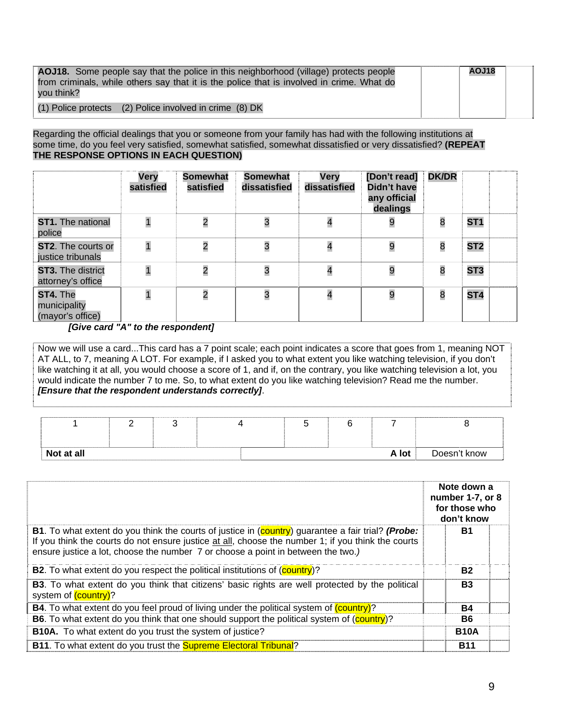| <b>AOJ18.</b> Some people say that the police in this neighborhood (village) protects people<br>from criminals, while others say that it is the police that is involved in crime. What do<br>vou think? | AOJ18 |  |
|---------------------------------------------------------------------------------------------------------------------------------------------------------------------------------------------------------|-------|--|
| (1) Police protects (2) Police involved in crime (8) DK                                                                                                                                                 |       |  |

#### Regarding the official dealings that you or someone from your family has had with the following institutions at some time, do you feel very satisfied, somewhat satisfied, somewhat dissatisfied or very dissatisfied? **(REPEAT THE RESPONSE OPTIONS IN EACH QUESTION)**

|                                                | Very<br>satisfied       | <b>Somewhat</b><br>satisfied | Somewhat<br>dissatisfied | Very<br>dissatisfied | [Don't read]<br><b>Didn't have</b><br>any official<br>dealings | <b>DK/DR</b> |                 |  |
|------------------------------------------------|-------------------------|------------------------------|--------------------------|----------------------|----------------------------------------------------------------|--------------|-----------------|--|
| <b>ST1.</b> The national<br>police             |                         | $\overline{c}$               | 3                        | 4                    | 9                                                              | 8            | ST <sub>1</sub> |  |
| <b>ST2.</b> The courts or<br>justice tribunals | $\overline{1}$          | $\overline{c}$               | 3                        | 4                    | 9                                                              | 8            | ST <sub>2</sub> |  |
| ST3. The district<br>attorney's office         |                         | $\overline{c}$               | 3                        | 4                    | 9                                                              | 8            | ST <sub>3</sub> |  |
| ST4. The<br>municipality<br>(mayor's office)   | $\overline{\mathbf{1}}$ | $\overline{\mathbf{c}}$      | 3                        | 4                    | 9                                                              | 8            | ST <sub>4</sub> |  |

 *[Give card "A" to the respondent]* 

Now we will use a card...This card has a 7 point scale; each point indicates a score that goes from 1, meaning NOT AT ALL, to 7, meaning A LOT. For example, if I asked you to what extent you like watching television, if you don't like watching it at all, you would choose a score of 1, and if, on the contrary, you like watching television a lot, you would indicate the number 7 to me. So, to what extent do you like watching television? Read me the number. *[Ensure that the respondent understands correctly]*.

| Not at all |  |  |  | A lot | Doesn't know |
|------------|--|--|--|-------|--------------|

|                                                                                                                                                                                                                                                                                                              | Note down a<br>number 1-7, or 8<br>for those who<br>don't know |
|--------------------------------------------------------------------------------------------------------------------------------------------------------------------------------------------------------------------------------------------------------------------------------------------------------------|----------------------------------------------------------------|
| <b>B1</b> . To what extent do you think the courts of justice in (country) guarantee a fair trial? ( <b>Probe:</b><br>If you think the courts do not ensure justice at all, choose the number 1; if you think the courts<br>ensure justice a lot, choose the number 7 or choose a point in between the two.) | <b>B1</b>                                                      |
| <b>B2.</b> To what extent do you respect the political institutions of (country)?                                                                                                                                                                                                                            | <b>B2</b>                                                      |
| <b>B3</b> . To what extent do you think that citizens' basic rights are well protected by the political<br>system of (country)?                                                                                                                                                                              | <b>B3</b>                                                      |
| <b>B4.</b> To what extent do you feel proud of living under the political system of (country)?                                                                                                                                                                                                               | <b>B4</b>                                                      |
| B6. To what extent do you think that one should support the political system of (country)?                                                                                                                                                                                                                   | B6                                                             |
| <b>B10A.</b> To what extent do you trust the system of justice?                                                                                                                                                                                                                                              | <b>B10A</b>                                                    |
| B11. To what extent do you trust the <b>Supreme Electoral Tribunal</b> ?                                                                                                                                                                                                                                     | B11                                                            |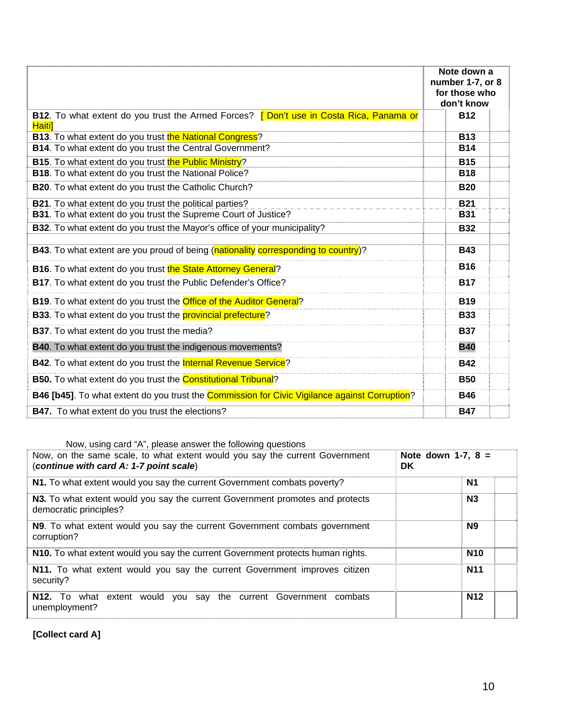|                                                                                                   | Note down a<br>number 1-7, or 8<br>for those who<br>don't know |
|---------------------------------------------------------------------------------------------------|----------------------------------------------------------------|
| B12. To what extent do you trust the Armed Forces? [ Don't use in Costa Rica, Panama or<br>Haiti] | <b>B12</b>                                                     |
| <b>B13.</b> To what extent do you trust the National Congress?                                    | <b>B13</b>                                                     |
| B14. To what extent do you trust the Central Government?                                          | <b>B14</b>                                                     |
| B15. To what extent do you trust the Public Ministry?                                             | <b>B15</b>                                                     |
| B18. To what extent do you trust the National Police?                                             | <b>B18</b>                                                     |
| B20. To what extent do you trust the Catholic Church?                                             | <b>B20</b>                                                     |
| B21. To what extent do you trust the political parties?                                           | <b>B21</b>                                                     |
| B31. To what extent do you trust the Supreme Court of Justice?                                    | <b>B31</b>                                                     |
| B32. To what extent do you trust the Mayor's office of your municipality?                         | <b>B32</b>                                                     |
| B43. To what extent are you proud of being (nationality corresponding to country)?                | <b>B43</b>                                                     |
| <b>B16.</b> To what extent do you trust the State Attorney General?                               | <b>B16</b>                                                     |
| B17. To what extent do you trust the Public Defender's Office?                                    | <b>B17</b>                                                     |
| B19. To what extent do you trust the Office of the Auditor General?                               | <b>B19</b>                                                     |
| <b>B33.</b> To what extent do you trust the <b>provincial prefecture</b> ?                        | <b>B33</b>                                                     |
| B37. To what extent do you trust the media?                                                       | <b>B37</b>                                                     |
| B40. To what extent do you trust the indigenous movements?                                        | <b>B40</b>                                                     |
| B42. To what extent do you trust the Internal Revenue Service?                                    | <b>B42</b>                                                     |
| B50. To what extent do you trust the Constitutional Tribunal?                                     | <b>B50</b>                                                     |
| B46 [b45]. To what extent do you trust the Commission for Civic Vigilance against Corruption?     | <b>B46</b>                                                     |
| <b>B47.</b> To what extent do you trust the elections?                                            | <b>B47</b>                                                     |

Now, using card "A", please answer the following questions

| Now, on the same scale, to what extent would you say the current Government<br>(continue with card A: 1-7 point scale) | Note down 1-7, $8 =$<br><b>DK</b> |  |  |
|------------------------------------------------------------------------------------------------------------------------|-----------------------------------|--|--|
| N1. To what extent would you say the current Government combats poverty?                                               | N1                                |  |  |
| N3. To what extent would you say the current Government promotes and protects<br>democratic principles?                | N3                                |  |  |
| N9. To what extent would you say the current Government combats government<br>corruption?                              | N <sub>9</sub>                    |  |  |
| N10. To what extent would you say the current Government protects human rights.                                        | <b>N10</b>                        |  |  |
| N11. To what extent would you say the current Government improves citizen<br>security?                                 | <b>N11</b>                        |  |  |
| what extent would you say the current Government combats<br><b>N12.</b> To<br>unemployment?                            | <b>N12</b>                        |  |  |

**[Collect card A]**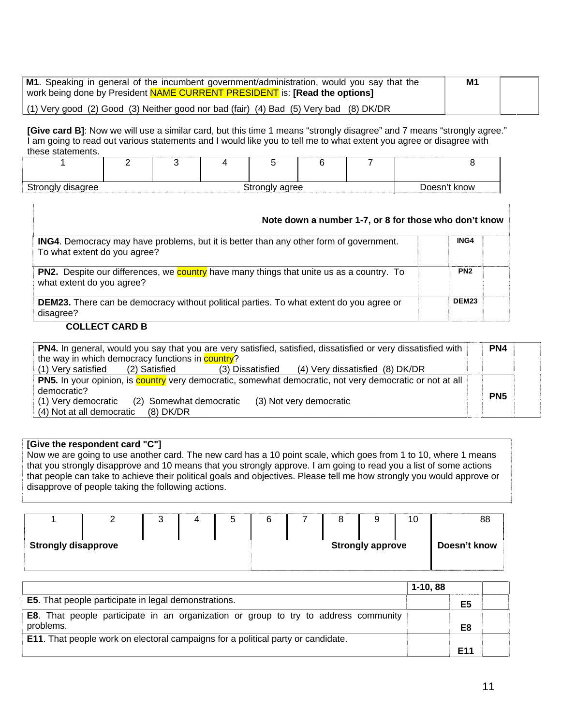| M1. Speaking in general of the incumbent government/administration, would you say that the<br>work being done by President NAME CURRENT PRESIDENT is: [Read the options] | M <sub>1</sub> |  |
|--------------------------------------------------------------------------------------------------------------------------------------------------------------------------|----------------|--|
| (1) Very good (2) Good (3) Neither good nor bad (fair) (4) Bad (5) Very bad (8) DK/DR                                                                                    |                |  |

**[Give card B]**: Now we will use a similar card, but this time 1 means "strongly disagree" and 7 means "strongly agree." I am going to read out various statements and I would like you to tell me to what extent you agree or disagree with these statements.

| Strongly disagree |  | Doesn't know |  |  |  |  |
|-------------------|--|--------------|--|--|--|--|

| Note down a number 1-7, or 8 for those who don't know                                                                               |                   |
|-------------------------------------------------------------------------------------------------------------------------------------|-------------------|
| <b>ING4.</b> Democracy may have problems, but it is better than any other form of government.<br>To what extent do you agree?       | ING4              |
| <b>PN2.</b> Despite our differences, we <b>country</b> have many things that unite us as a country. To<br>what extent do you agree? | PN <sub>2</sub>   |
| <b>DEM23.</b> There can be democracy without political parties. To what extent do you agree or<br>disagree?                         | DEM <sub>23</sub> |

#### **COLLECT CARD B**

| PN4. In general, would you say that you are very satisfied, satisfied, dissatisfied or very dissatisfied with |  |  |                                                  |                 |  |  |
|---------------------------------------------------------------------------------------------------------------|--|--|--------------------------------------------------|-----------------|--|--|
| the way in which democracy functions in <b>country</b> ?                                                      |  |  |                                                  |                 |  |  |
| (1) Very satisfied (2) Satisfied                                                                              |  |  | (3) Dissatisfied (4) Very dissatisfied (8) DK/DR |                 |  |  |
| PN5. In your opinion, is country very democratic, somewhat democratic, not very democratic or not at all      |  |  |                                                  |                 |  |  |
| democratic?                                                                                                   |  |  |                                                  | PN <sub>5</sub> |  |  |
| (1) Very democratic (2) Somewhat democratic                                                                   |  |  | (3) Not very democratic                          |                 |  |  |
| (4) Not at all democratic (8) DK/DR                                                                           |  |  |                                                  |                 |  |  |

#### **[Give the respondent card "C"]**

Now we are going to use another card. The new card has a 10 point scale, which goes from 1 to 10, where 1 means that you strongly disapprove and 10 means that you strongly approve. I am going to read you a list of some actions that people can take to achieve their political goals and objectives. Please tell me how strongly you would approve or disapprove of people taking the following actions.

|                            |  | ບ |  |  | o |                         |  | 10           | 88 |
|----------------------------|--|---|--|--|---|-------------------------|--|--------------|----|
| <b>Strongly disapprove</b> |  |   |  |  |   | <b>Strongly approve</b> |  | Doesn't know |    |

|                                                                                                  | $1-10, 88$      |  |
|--------------------------------------------------------------------------------------------------|-----------------|--|
| <b>E5</b> . That people participate in legal demonstrations.                                     | E <sub>5</sub>  |  |
| E8. That people participate in an organization or group to try to address community<br>problems. | E <sub>8</sub>  |  |
| <b>E11.</b> That people work on electoral campaigns for a political party or candidate.          |                 |  |
|                                                                                                  | E <sub>11</sub> |  |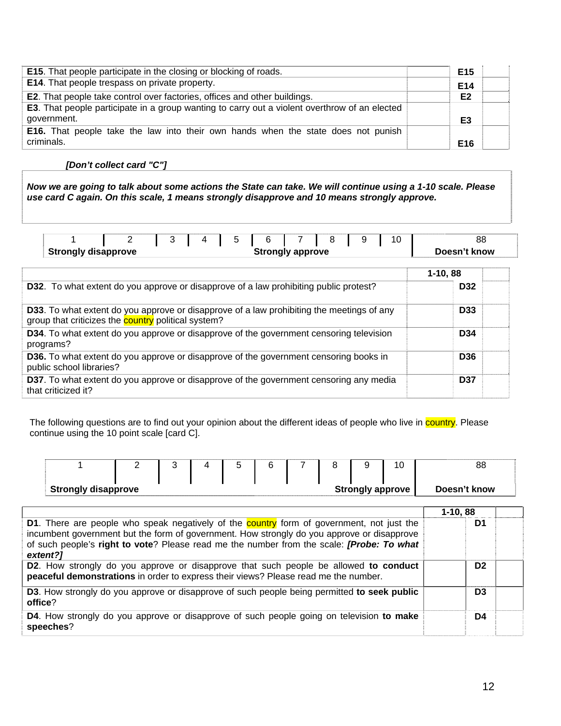| <b>E15</b> . That people participate in the closing or blocking of roads.                             | E <sub>15</sub> |
|-------------------------------------------------------------------------------------------------------|-----------------|
| E14. That people trespass on private property.                                                        | E <sub>14</sub> |
| <b>E2.</b> That people take control over factories, offices and other buildings.                      | E <sub>2</sub>  |
| <b>E3</b> . That people participate in a group wanting to carry out a violent overthrow of an elected |                 |
| government.                                                                                           | E <sub>3</sub>  |
| <b>E16.</b> That people take the law into their own hands when the state does not punish              |                 |
| criminals.                                                                                            | E <sub>16</sub> |

#### *[Don't collect card "C"]*

*Now we are going to talk about some actions the State can take. We will continue using a 1-10 scale. Please use card C again. On this scale, 1 means strongly disapprove and 10 means strongly approve.* 

|                                                       | <u>_</u> |  |  |  | C |  |  | 88           |
|-------------------------------------------------------|----------|--|--|--|---|--|--|--------------|
| <b>Strongly disapprove</b><br><b>Strongly approve</b> |          |  |  |  |   |  |  | Doesn't know |

|                                                                                                                                                         | $1-10,88$       |  |
|---------------------------------------------------------------------------------------------------------------------------------------------------------|-----------------|--|
| D32. To what extent do you approve or disapprove of a law prohibiting public protest?                                                                   | D <sub>32</sub> |  |
| D33. To what extent do you approve or disapprove of a law prohibiting the meetings of any<br>group that criticizes the <b>country</b> political system? | D <sub>33</sub> |  |
| <b>D34</b> . To what extent do you approve or disapprove of the government censoring television<br>programs?                                            | D <sub>34</sub> |  |
| <b>D36.</b> To what extent do you approve or disapprove of the government censoring books in<br>public school libraries?                                | <b>D36</b>      |  |
| D37. To what extent do you approve or disapprove of the government censoring any media<br>that criticized it?                                           | <b>D37</b>      |  |

The following questions are to find out your opinion about the different ideas of people who live in country. Please continue using the 10 point scale [card C].

|                            | - |  |  | $\sim$ |  |                         | 10 | 88           |
|----------------------------|---|--|--|--------|--|-------------------------|----|--------------|
|                            |   |  |  |        |  |                         |    |              |
| <b>Strongly disapprove</b> |   |  |  |        |  | <b>Strongly approve</b> |    | Doesn't know |

|                                                                                                                                                                                                                                                                                                         | $1-10,88$      |  |
|---------------------------------------------------------------------------------------------------------------------------------------------------------------------------------------------------------------------------------------------------------------------------------------------------------|----------------|--|
| D1. There are people who speak negatively of the country form of government, not just the<br>incumbent government but the form of government. How strongly do you approve or disapprove<br>of such people's right to vote? Please read me the number from the scale: <i>[Probe: To what</i><br>extent?1 | D <sub>1</sub> |  |
| D2. How strongly do you approve or disapprove that such people be allowed to conduct<br>peaceful demonstrations in order to express their views? Please read me the number.                                                                                                                             | D <sub>2</sub> |  |
| <b>D3.</b> How strongly do you approve or disapprove of such people being permitted to seek public<br>office?                                                                                                                                                                                           | D <sub>3</sub> |  |
| <b>D4.</b> How strongly do you approve or disapprove of such people going on television to make<br>speeches?                                                                                                                                                                                            | D4             |  |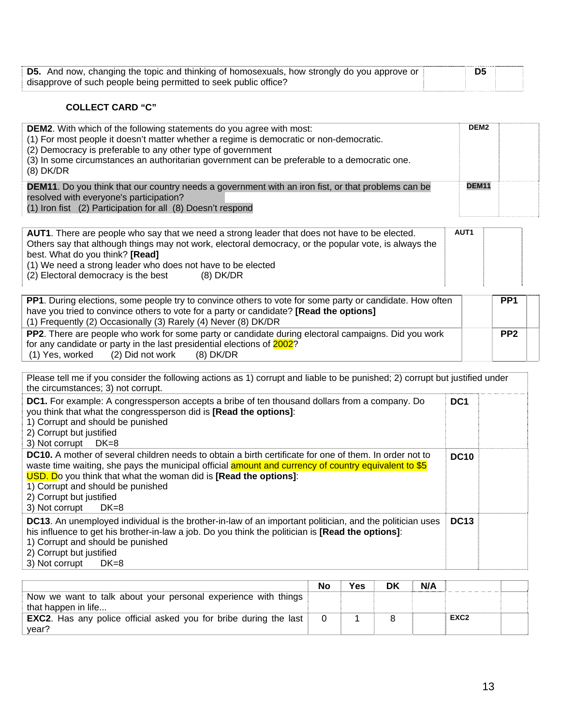| <b>D5.</b> And now, changing the topic and thinking of homosexuals, how strongly do you approve or | D5 |  |
|----------------------------------------------------------------------------------------------------|----|--|
| disapprove of such people being permitted to seek public office?                                   |    |  |

### **COLLECT CARD "C"**

| <b>DEM2.</b> With which of the following statements do you agree with most:<br>(1) For most people it doesn't matter whether a regime is democratic or non-democratic.<br>(2) Democracy is preferable to any other type of government<br>(3) In some circumstances an authoritarian government can be preferable to a democratic one.<br>$(8)$ DK/DR | DEM <sub>2</sub> |  |
|------------------------------------------------------------------------------------------------------------------------------------------------------------------------------------------------------------------------------------------------------------------------------------------------------------------------------------------------------|------------------|--|
| <b>DEM11.</b> Do you think that our country needs a government with an iron fist, or that problems can be<br>resolved with everyone's participation?<br>(1) Iron fist (2) Participation for all (8) Doesn't respond                                                                                                                                  | <b>DEM11</b>     |  |

| <b>AUT1</b> . There are people who say that we need a strong leader that does not have to be elected. | AUT <sub>1</sub> |  |
|-------------------------------------------------------------------------------------------------------|------------------|--|
| Others say that although things may not work, electoral democracy, or the popular vote, is always the |                  |  |
| best. What do you think? [Read]                                                                       |                  |  |
| (1) We need a strong leader who does not have to be elected                                           |                  |  |
| (2) Electoral democracy is the best<br>(8) DK/DR                                                      |                  |  |
|                                                                                                       |                  |  |

| <b>PP1.</b> During elections, some people try to convince others to vote for some party or candidate. How often | PP <sub>1</sub> |  |
|-----------------------------------------------------------------------------------------------------------------|-----------------|--|
| have you tried to convince others to vote for a party or candidate? [Read the options]                          |                 |  |
| (1) Frequently (2) Occasionally (3) Rarely (4) Never (8) DK/DR                                                  |                 |  |
| <b>PP2</b> . There are people who work for some party or candidate during electoral campaigns. Did you work     | PP <sub>2</sub> |  |
| for any candidate or party in the last presidential elections of 2002?                                          |                 |  |
| $(1)$ Yes, worked $(2)$ Did not work $(8)$ DK/DR                                                                |                 |  |

| Please tell me if you consider the following actions as 1) corrupt and liable to be punished; 2) corrupt but justified under<br>the circumstances; 3) not corrupt.                                                                                                                                                                                                                    |                 |  |
|---------------------------------------------------------------------------------------------------------------------------------------------------------------------------------------------------------------------------------------------------------------------------------------------------------------------------------------------------------------------------------------|-----------------|--|
| DC1. For example: A congressperson accepts a bribe of ten thousand dollars from a company. Do<br>you think that what the congressperson did is [Read the options]:<br>1) Corrupt and should be punished<br>2) Corrupt but justified<br>3) Not corrupt DK=8                                                                                                                            | DC <sub>1</sub> |  |
| <b>DC10.</b> A mother of several children needs to obtain a birth certificate for one of them. In order not to<br>waste time waiting, she pays the municipal official amount and currency of country equivalent to \$5<br>USD. Do you think that what the woman did is [Read the options]:<br>1) Corrupt and should be punished<br>2) Corrupt but justified<br>3) Not corrupt<br>DK=8 | <b>DC10</b>     |  |
| <b>DC13.</b> An unemployed individual is the brother-in-law of an important politician, and the politician uses<br>his influence to get his brother-in-law a job. Do you think the politician is [Read the options]:<br>1) Corrupt and should be punished<br>2) Corrupt but justified<br>3) Not corrupt<br>$DK=8$                                                                     | <b>DC13</b>     |  |

|                                                                          | No | Yes | DK | N/A |                  |  |
|--------------------------------------------------------------------------|----|-----|----|-----|------------------|--|
| Now we want to talk about your personal experience with things           |    |     |    |     |                  |  |
| that happen in life                                                      |    |     |    |     |                  |  |
| <b>EXC2.</b> Has any police official asked you for bribe during the last |    |     |    |     | EXC <sub>2</sub> |  |
| year?                                                                    |    |     |    |     |                  |  |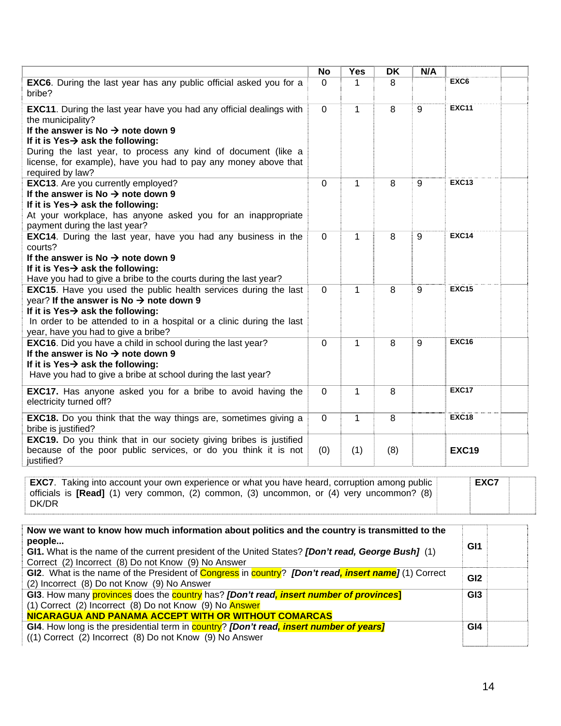|                                                                                                                                                                                                                                                                                                                                                           | <b>No</b>   | <b>Yes</b>   | <b>DK</b> | N/A |                  |
|-----------------------------------------------------------------------------------------------------------------------------------------------------------------------------------------------------------------------------------------------------------------------------------------------------------------------------------------------------------|-------------|--------------|-----------|-----|------------------|
| <b>EXC6.</b> During the last year has any public official asked you for a<br>bribe?                                                                                                                                                                                                                                                                       | $\Omega$    | 1            | 8         |     | EXC <sub>6</sub> |
| <b>EXC11.</b> During the last year have you had any official dealings with<br>the municipality?<br>If the answer is No $\rightarrow$ note down 9<br>If it is Yes $\rightarrow$ ask the following:<br>During the last year, to process any kind of document (like a<br>license, for example), have you had to pay any money above that<br>required by law? | $\mathbf 0$ | $\mathbf{1}$ | 8         | 9   | <b>EXC11</b>     |
| <b>EXC13.</b> Are you currently employed?<br>If the answer is No $\rightarrow$ note down 9<br>If it is Yes $\rightarrow$ ask the following:<br>At your workplace, has anyone asked you for an inappropriate<br>payment during the last year?                                                                                                              | $\Omega$    | 1            | 8         | 9   | <b>EXC13</b>     |
| <b>EXC14.</b> During the last year, have you had any business in the<br>courts?<br>If the answer is No $\rightarrow$ note down 9<br>If it is Yes $\rightarrow$ ask the following:<br>Have you had to give a bribe to the courts during the last year?                                                                                                     | $\Omega$    | 1            | 8         | 9   | <b>EXC14</b>     |
| <b>EXC15.</b> Have you used the public health services during the last<br>year? If the answer is No $\rightarrow$ note down 9<br>If it is Yes $\rightarrow$ ask the following:<br>In order to be attended to in a hospital or a clinic during the last<br>year, have you had to give a bribe?                                                             | $\mathbf 0$ | $\mathbf{1}$ | 8         | 9   | <b>EXC15</b>     |
| <b>EXC16.</b> Did you have a child in school during the last year?<br>If the answer is No $\rightarrow$ note down 9<br>If it is Yes $\rightarrow$ ask the following:<br>Have you had to give a bribe at school during the last year?                                                                                                                      | $\mathbf 0$ | 1            | 8         | 9   | <b>EXC16</b>     |
| <b>EXC17.</b> Has anyone asked you for a bribe to avoid having the<br>electricity turned off?                                                                                                                                                                                                                                                             | 0           | 1            | 8         |     | <b>EXC17</b>     |
| <b>EXC18.</b> Do you think that the way things are, sometimes giving a<br>bribe is justified?                                                                                                                                                                                                                                                             | $\Omega$    | 1            | 8         |     | <b>EXC18</b>     |
| EXC19. Do you think that in our society giving bribes is justified<br>because of the poor public services, or do you think it is not<br>justified?                                                                                                                                                                                                        | (0)         | (1)          | (8)       |     | <b>EXC19</b>     |

|       | <b>EXC7.</b> Taking into account your own experience or what you have heard, corruption among public | <b>EXC7</b> |
|-------|------------------------------------------------------------------------------------------------------|-------------|
|       | officials is [Read] (1) very common, (2) common, (3) uncommon, or (4) very uncommon? (8)             |             |
| DK/DR |                                                                                                      |             |

| Now we want to know how much information about politics and the country is transmitted to the<br>people     | GI1             |  |
|-------------------------------------------------------------------------------------------------------------|-----------------|--|
| GI1. What is the name of the current president of the United States? [Don't read, George Bush] (1)          |                 |  |
| Correct (2) Incorrect (8) Do not Know (9) No Answer                                                         |                 |  |
| GI2. What is the name of the President of Congress in country? <i>[Don't read, insert name]</i> (1) Correct | GI <sub>2</sub> |  |
| (2) Incorrect (8) Do not Know (9) No Answer                                                                 |                 |  |
| GI3. How many provinces does the country has? [Don't read, insert number of provinces]                      | GI <sub>3</sub> |  |
| (1) Correct (2) Incorrect (8) Do not Know (9) No Answer                                                     |                 |  |
| NICARAGUA AND PANAMA ACCEPT WITH OR WITHOUT COMARCAS                                                        |                 |  |
| GI4. How long is the presidential term in <b>country?</b> [Don't read, <i>insert number of years</i> ]      | GI <sub>4</sub> |  |
| ((1) Correct (2) Incorrect (8) Do not Know (9) No Answer                                                    |                 |  |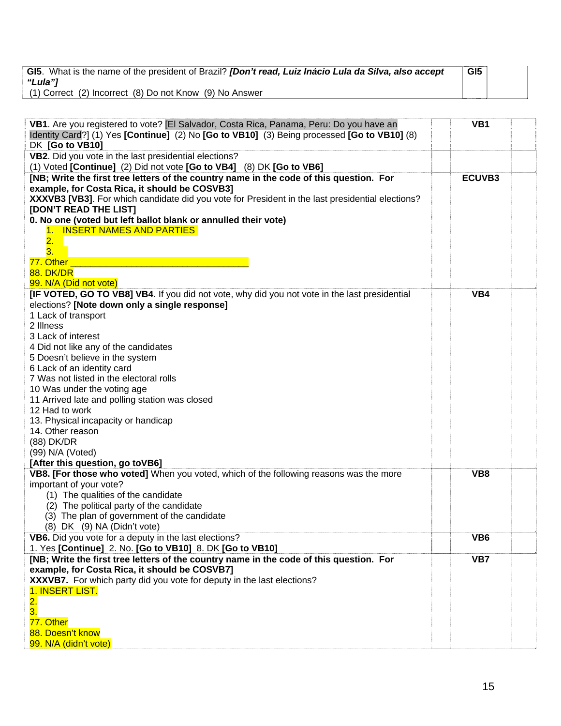|         | GI5. What is the name of the president of Brazil? [Don't read, Luiz Inácio Lula da Silva, also accept | GI <sub>5</sub> |  |
|---------|-------------------------------------------------------------------------------------------------------|-----------------|--|
| "Lula"] |                                                                                                       |                 |  |
|         | (1) Correct (2) Incorrect (8) Do not Know (9) No Answer                                               |                 |  |

| VB1. Are you registered to vote? [El Salvador, Costa Rica, Panama, Peru: Do you have an<br>VB1<br>Identity Card?] (1) Yes [Continue] (2) No [Go to VB10] (3) Being processed [Go to VB10] (8)<br>DK [Go to VB10]<br>VB2. Did you vote in the last presidential elections?<br>(1) Voted [Continue] (2) Did not vote [Go to VB4] (8) DK [Go to VB6]<br>[NB; Write the first tree letters of the country name in the code of this question. For<br>ECUVB3<br>example, for Costa Rica, it should be COSVB3]<br>XXXVB3 [VB3]. For which candidate did you vote for President in the last presidential elections?<br>[DON'T READ THE LIST]<br>0. No one (voted but left ballot blank or annulled their vote)<br>1. INSERT NAMES AND PARTIES<br>$\overline{\mathbf{2}}$ .<br>3.<br>77. Other<br><b>88. DK/DR</b><br>99. N/A (Did not vote)<br>[IF VOTED, GO TO VB8] VB4. If you did not vote, why did you not vote in the last presidential<br>VB4<br>elections? [Note down only a single response]<br>1 Lack of transport<br>2 Illness<br>3 Lack of interest<br>4 Did not like any of the candidates<br>5 Doesn't believe in the system<br>6 Lack of an identity card<br>7 Was not listed in the electoral rolls<br>10 Was under the voting age<br>11 Arrived late and polling station was closed<br>12 Had to work<br>13. Physical incapacity or handicap<br>14. Other reason<br>(88) DK/DR<br>(99) N/A (Voted)<br>[After this question, go toVB6]<br>VB8. [For those who voted] When you voted, which of the following reasons was the more<br>VB8<br>important of your vote?<br>(1) The qualities of the candidate<br>(2) The political party of the candidate<br>(3) The plan of government of the candidate<br>(8) DK (9) NA (Didn't vote)<br>VB <sub>6</sub><br>VB6. Did you vote for a deputy in the last elections?<br>1. Yes [Continue] 2. No. [Go to VB10] 8. DK [Go to VB10]<br>[NB; Write the first tree letters of the country name in the code of this question. For<br>VB7<br>example, for Costa Rica, it should be COSVB7]<br>XXXVB7. For which party did you vote for deputy in the last elections?<br>1. INSERT LIST.<br>$\overline{\mathbf{2}}$ .<br>3.<br>77. Other<br>88. Doesn't know<br>99. N/A (didn't vote) |  |  |
|--------------------------------------------------------------------------------------------------------------------------------------------------------------------------------------------------------------------------------------------------------------------------------------------------------------------------------------------------------------------------------------------------------------------------------------------------------------------------------------------------------------------------------------------------------------------------------------------------------------------------------------------------------------------------------------------------------------------------------------------------------------------------------------------------------------------------------------------------------------------------------------------------------------------------------------------------------------------------------------------------------------------------------------------------------------------------------------------------------------------------------------------------------------------------------------------------------------------------------------------------------------------------------------------------------------------------------------------------------------------------------------------------------------------------------------------------------------------------------------------------------------------------------------------------------------------------------------------------------------------------------------------------------------------------------------------------------------------------------------------------------------------------------------------------------------------------------------------------------------------------------------------------------------------------------------------------------------------------------------------------------------------------------------------------------------------------------------------------------------------------------------------------------------------------------------------------------------------------------|--|--|
|                                                                                                                                                                                                                                                                                                                                                                                                                                                                                                                                                                                                                                                                                                                                                                                                                                                                                                                                                                                                                                                                                                                                                                                                                                                                                                                                                                                                                                                                                                                                                                                                                                                                                                                                                                                                                                                                                                                                                                                                                                                                                                                                                                                                                                |  |  |
|                                                                                                                                                                                                                                                                                                                                                                                                                                                                                                                                                                                                                                                                                                                                                                                                                                                                                                                                                                                                                                                                                                                                                                                                                                                                                                                                                                                                                                                                                                                                                                                                                                                                                                                                                                                                                                                                                                                                                                                                                                                                                                                                                                                                                                |  |  |
|                                                                                                                                                                                                                                                                                                                                                                                                                                                                                                                                                                                                                                                                                                                                                                                                                                                                                                                                                                                                                                                                                                                                                                                                                                                                                                                                                                                                                                                                                                                                                                                                                                                                                                                                                                                                                                                                                                                                                                                                                                                                                                                                                                                                                                |  |  |
|                                                                                                                                                                                                                                                                                                                                                                                                                                                                                                                                                                                                                                                                                                                                                                                                                                                                                                                                                                                                                                                                                                                                                                                                                                                                                                                                                                                                                                                                                                                                                                                                                                                                                                                                                                                                                                                                                                                                                                                                                                                                                                                                                                                                                                |  |  |
|                                                                                                                                                                                                                                                                                                                                                                                                                                                                                                                                                                                                                                                                                                                                                                                                                                                                                                                                                                                                                                                                                                                                                                                                                                                                                                                                                                                                                                                                                                                                                                                                                                                                                                                                                                                                                                                                                                                                                                                                                                                                                                                                                                                                                                |  |  |
|                                                                                                                                                                                                                                                                                                                                                                                                                                                                                                                                                                                                                                                                                                                                                                                                                                                                                                                                                                                                                                                                                                                                                                                                                                                                                                                                                                                                                                                                                                                                                                                                                                                                                                                                                                                                                                                                                                                                                                                                                                                                                                                                                                                                                                |  |  |
|                                                                                                                                                                                                                                                                                                                                                                                                                                                                                                                                                                                                                                                                                                                                                                                                                                                                                                                                                                                                                                                                                                                                                                                                                                                                                                                                                                                                                                                                                                                                                                                                                                                                                                                                                                                                                                                                                                                                                                                                                                                                                                                                                                                                                                |  |  |
|                                                                                                                                                                                                                                                                                                                                                                                                                                                                                                                                                                                                                                                                                                                                                                                                                                                                                                                                                                                                                                                                                                                                                                                                                                                                                                                                                                                                                                                                                                                                                                                                                                                                                                                                                                                                                                                                                                                                                                                                                                                                                                                                                                                                                                |  |  |
|                                                                                                                                                                                                                                                                                                                                                                                                                                                                                                                                                                                                                                                                                                                                                                                                                                                                                                                                                                                                                                                                                                                                                                                                                                                                                                                                                                                                                                                                                                                                                                                                                                                                                                                                                                                                                                                                                                                                                                                                                                                                                                                                                                                                                                |  |  |
|                                                                                                                                                                                                                                                                                                                                                                                                                                                                                                                                                                                                                                                                                                                                                                                                                                                                                                                                                                                                                                                                                                                                                                                                                                                                                                                                                                                                                                                                                                                                                                                                                                                                                                                                                                                                                                                                                                                                                                                                                                                                                                                                                                                                                                |  |  |
|                                                                                                                                                                                                                                                                                                                                                                                                                                                                                                                                                                                                                                                                                                                                                                                                                                                                                                                                                                                                                                                                                                                                                                                                                                                                                                                                                                                                                                                                                                                                                                                                                                                                                                                                                                                                                                                                                                                                                                                                                                                                                                                                                                                                                                |  |  |
|                                                                                                                                                                                                                                                                                                                                                                                                                                                                                                                                                                                                                                                                                                                                                                                                                                                                                                                                                                                                                                                                                                                                                                                                                                                                                                                                                                                                                                                                                                                                                                                                                                                                                                                                                                                                                                                                                                                                                                                                                                                                                                                                                                                                                                |  |  |
|                                                                                                                                                                                                                                                                                                                                                                                                                                                                                                                                                                                                                                                                                                                                                                                                                                                                                                                                                                                                                                                                                                                                                                                                                                                                                                                                                                                                                                                                                                                                                                                                                                                                                                                                                                                                                                                                                                                                                                                                                                                                                                                                                                                                                                |  |  |
|                                                                                                                                                                                                                                                                                                                                                                                                                                                                                                                                                                                                                                                                                                                                                                                                                                                                                                                                                                                                                                                                                                                                                                                                                                                                                                                                                                                                                                                                                                                                                                                                                                                                                                                                                                                                                                                                                                                                                                                                                                                                                                                                                                                                                                |  |  |
|                                                                                                                                                                                                                                                                                                                                                                                                                                                                                                                                                                                                                                                                                                                                                                                                                                                                                                                                                                                                                                                                                                                                                                                                                                                                                                                                                                                                                                                                                                                                                                                                                                                                                                                                                                                                                                                                                                                                                                                                                                                                                                                                                                                                                                |  |  |
|                                                                                                                                                                                                                                                                                                                                                                                                                                                                                                                                                                                                                                                                                                                                                                                                                                                                                                                                                                                                                                                                                                                                                                                                                                                                                                                                                                                                                                                                                                                                                                                                                                                                                                                                                                                                                                                                                                                                                                                                                                                                                                                                                                                                                                |  |  |
|                                                                                                                                                                                                                                                                                                                                                                                                                                                                                                                                                                                                                                                                                                                                                                                                                                                                                                                                                                                                                                                                                                                                                                                                                                                                                                                                                                                                                                                                                                                                                                                                                                                                                                                                                                                                                                                                                                                                                                                                                                                                                                                                                                                                                                |  |  |
|                                                                                                                                                                                                                                                                                                                                                                                                                                                                                                                                                                                                                                                                                                                                                                                                                                                                                                                                                                                                                                                                                                                                                                                                                                                                                                                                                                                                                                                                                                                                                                                                                                                                                                                                                                                                                                                                                                                                                                                                                                                                                                                                                                                                                                |  |  |
|                                                                                                                                                                                                                                                                                                                                                                                                                                                                                                                                                                                                                                                                                                                                                                                                                                                                                                                                                                                                                                                                                                                                                                                                                                                                                                                                                                                                                                                                                                                                                                                                                                                                                                                                                                                                                                                                                                                                                                                                                                                                                                                                                                                                                                |  |  |
|                                                                                                                                                                                                                                                                                                                                                                                                                                                                                                                                                                                                                                                                                                                                                                                                                                                                                                                                                                                                                                                                                                                                                                                                                                                                                                                                                                                                                                                                                                                                                                                                                                                                                                                                                                                                                                                                                                                                                                                                                                                                                                                                                                                                                                |  |  |
|                                                                                                                                                                                                                                                                                                                                                                                                                                                                                                                                                                                                                                                                                                                                                                                                                                                                                                                                                                                                                                                                                                                                                                                                                                                                                                                                                                                                                                                                                                                                                                                                                                                                                                                                                                                                                                                                                                                                                                                                                                                                                                                                                                                                                                |  |  |
|                                                                                                                                                                                                                                                                                                                                                                                                                                                                                                                                                                                                                                                                                                                                                                                                                                                                                                                                                                                                                                                                                                                                                                                                                                                                                                                                                                                                                                                                                                                                                                                                                                                                                                                                                                                                                                                                                                                                                                                                                                                                                                                                                                                                                                |  |  |
|                                                                                                                                                                                                                                                                                                                                                                                                                                                                                                                                                                                                                                                                                                                                                                                                                                                                                                                                                                                                                                                                                                                                                                                                                                                                                                                                                                                                                                                                                                                                                                                                                                                                                                                                                                                                                                                                                                                                                                                                                                                                                                                                                                                                                                |  |  |
|                                                                                                                                                                                                                                                                                                                                                                                                                                                                                                                                                                                                                                                                                                                                                                                                                                                                                                                                                                                                                                                                                                                                                                                                                                                                                                                                                                                                                                                                                                                                                                                                                                                                                                                                                                                                                                                                                                                                                                                                                                                                                                                                                                                                                                |  |  |
|                                                                                                                                                                                                                                                                                                                                                                                                                                                                                                                                                                                                                                                                                                                                                                                                                                                                                                                                                                                                                                                                                                                                                                                                                                                                                                                                                                                                                                                                                                                                                                                                                                                                                                                                                                                                                                                                                                                                                                                                                                                                                                                                                                                                                                |  |  |
|                                                                                                                                                                                                                                                                                                                                                                                                                                                                                                                                                                                                                                                                                                                                                                                                                                                                                                                                                                                                                                                                                                                                                                                                                                                                                                                                                                                                                                                                                                                                                                                                                                                                                                                                                                                                                                                                                                                                                                                                                                                                                                                                                                                                                                |  |  |
|                                                                                                                                                                                                                                                                                                                                                                                                                                                                                                                                                                                                                                                                                                                                                                                                                                                                                                                                                                                                                                                                                                                                                                                                                                                                                                                                                                                                                                                                                                                                                                                                                                                                                                                                                                                                                                                                                                                                                                                                                                                                                                                                                                                                                                |  |  |
|                                                                                                                                                                                                                                                                                                                                                                                                                                                                                                                                                                                                                                                                                                                                                                                                                                                                                                                                                                                                                                                                                                                                                                                                                                                                                                                                                                                                                                                                                                                                                                                                                                                                                                                                                                                                                                                                                                                                                                                                                                                                                                                                                                                                                                |  |  |
|                                                                                                                                                                                                                                                                                                                                                                                                                                                                                                                                                                                                                                                                                                                                                                                                                                                                                                                                                                                                                                                                                                                                                                                                                                                                                                                                                                                                                                                                                                                                                                                                                                                                                                                                                                                                                                                                                                                                                                                                                                                                                                                                                                                                                                |  |  |
|                                                                                                                                                                                                                                                                                                                                                                                                                                                                                                                                                                                                                                                                                                                                                                                                                                                                                                                                                                                                                                                                                                                                                                                                                                                                                                                                                                                                                                                                                                                                                                                                                                                                                                                                                                                                                                                                                                                                                                                                                                                                                                                                                                                                                                |  |  |
|                                                                                                                                                                                                                                                                                                                                                                                                                                                                                                                                                                                                                                                                                                                                                                                                                                                                                                                                                                                                                                                                                                                                                                                                                                                                                                                                                                                                                                                                                                                                                                                                                                                                                                                                                                                                                                                                                                                                                                                                                                                                                                                                                                                                                                |  |  |
|                                                                                                                                                                                                                                                                                                                                                                                                                                                                                                                                                                                                                                                                                                                                                                                                                                                                                                                                                                                                                                                                                                                                                                                                                                                                                                                                                                                                                                                                                                                                                                                                                                                                                                                                                                                                                                                                                                                                                                                                                                                                                                                                                                                                                                |  |  |
|                                                                                                                                                                                                                                                                                                                                                                                                                                                                                                                                                                                                                                                                                                                                                                                                                                                                                                                                                                                                                                                                                                                                                                                                                                                                                                                                                                                                                                                                                                                                                                                                                                                                                                                                                                                                                                                                                                                                                                                                                                                                                                                                                                                                                                |  |  |
|                                                                                                                                                                                                                                                                                                                                                                                                                                                                                                                                                                                                                                                                                                                                                                                                                                                                                                                                                                                                                                                                                                                                                                                                                                                                                                                                                                                                                                                                                                                                                                                                                                                                                                                                                                                                                                                                                                                                                                                                                                                                                                                                                                                                                                |  |  |
|                                                                                                                                                                                                                                                                                                                                                                                                                                                                                                                                                                                                                                                                                                                                                                                                                                                                                                                                                                                                                                                                                                                                                                                                                                                                                                                                                                                                                                                                                                                                                                                                                                                                                                                                                                                                                                                                                                                                                                                                                                                                                                                                                                                                                                |  |  |
|                                                                                                                                                                                                                                                                                                                                                                                                                                                                                                                                                                                                                                                                                                                                                                                                                                                                                                                                                                                                                                                                                                                                                                                                                                                                                                                                                                                                                                                                                                                                                                                                                                                                                                                                                                                                                                                                                                                                                                                                                                                                                                                                                                                                                                |  |  |
|                                                                                                                                                                                                                                                                                                                                                                                                                                                                                                                                                                                                                                                                                                                                                                                                                                                                                                                                                                                                                                                                                                                                                                                                                                                                                                                                                                                                                                                                                                                                                                                                                                                                                                                                                                                                                                                                                                                                                                                                                                                                                                                                                                                                                                |  |  |
|                                                                                                                                                                                                                                                                                                                                                                                                                                                                                                                                                                                                                                                                                                                                                                                                                                                                                                                                                                                                                                                                                                                                                                                                                                                                                                                                                                                                                                                                                                                                                                                                                                                                                                                                                                                                                                                                                                                                                                                                                                                                                                                                                                                                                                |  |  |
|                                                                                                                                                                                                                                                                                                                                                                                                                                                                                                                                                                                                                                                                                                                                                                                                                                                                                                                                                                                                                                                                                                                                                                                                                                                                                                                                                                                                                                                                                                                                                                                                                                                                                                                                                                                                                                                                                                                                                                                                                                                                                                                                                                                                                                |  |  |
|                                                                                                                                                                                                                                                                                                                                                                                                                                                                                                                                                                                                                                                                                                                                                                                                                                                                                                                                                                                                                                                                                                                                                                                                                                                                                                                                                                                                                                                                                                                                                                                                                                                                                                                                                                                                                                                                                                                                                                                                                                                                                                                                                                                                                                |  |  |
|                                                                                                                                                                                                                                                                                                                                                                                                                                                                                                                                                                                                                                                                                                                                                                                                                                                                                                                                                                                                                                                                                                                                                                                                                                                                                                                                                                                                                                                                                                                                                                                                                                                                                                                                                                                                                                                                                                                                                                                                                                                                                                                                                                                                                                |  |  |
|                                                                                                                                                                                                                                                                                                                                                                                                                                                                                                                                                                                                                                                                                                                                                                                                                                                                                                                                                                                                                                                                                                                                                                                                                                                                                                                                                                                                                                                                                                                                                                                                                                                                                                                                                                                                                                                                                                                                                                                                                                                                                                                                                                                                                                |  |  |
|                                                                                                                                                                                                                                                                                                                                                                                                                                                                                                                                                                                                                                                                                                                                                                                                                                                                                                                                                                                                                                                                                                                                                                                                                                                                                                                                                                                                                                                                                                                                                                                                                                                                                                                                                                                                                                                                                                                                                                                                                                                                                                                                                                                                                                |  |  |
|                                                                                                                                                                                                                                                                                                                                                                                                                                                                                                                                                                                                                                                                                                                                                                                                                                                                                                                                                                                                                                                                                                                                                                                                                                                                                                                                                                                                                                                                                                                                                                                                                                                                                                                                                                                                                                                                                                                                                                                                                                                                                                                                                                                                                                |  |  |
|                                                                                                                                                                                                                                                                                                                                                                                                                                                                                                                                                                                                                                                                                                                                                                                                                                                                                                                                                                                                                                                                                                                                                                                                                                                                                                                                                                                                                                                                                                                                                                                                                                                                                                                                                                                                                                                                                                                                                                                                                                                                                                                                                                                                                                |  |  |
|                                                                                                                                                                                                                                                                                                                                                                                                                                                                                                                                                                                                                                                                                                                                                                                                                                                                                                                                                                                                                                                                                                                                                                                                                                                                                                                                                                                                                                                                                                                                                                                                                                                                                                                                                                                                                                                                                                                                                                                                                                                                                                                                                                                                                                |  |  |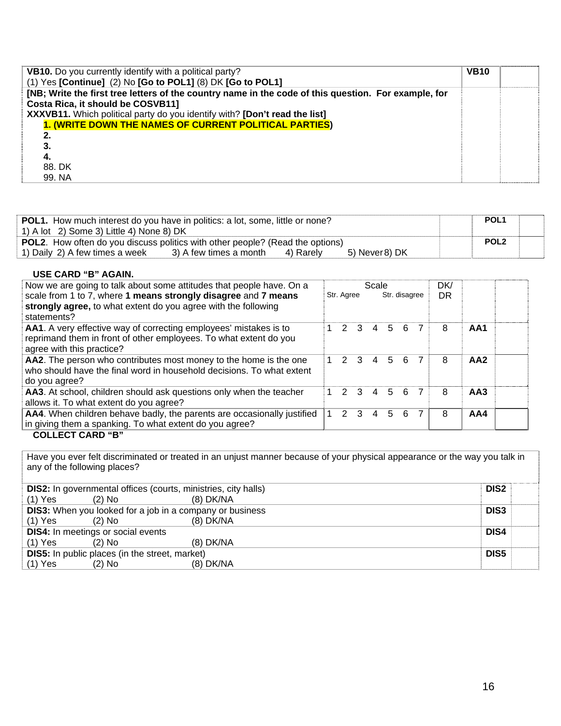| VB10. Do you currently identify with a political party?<br>(1) Yes [Continue] (2) No [Go to POL1] (8) DK [Go to POL1]                     | <b>VB10</b> |  |
|-------------------------------------------------------------------------------------------------------------------------------------------|-------------|--|
| [NB; Write the first tree letters of the country name in the code of this question. For example, for<br>Costa Rica, it should be COSVB11] |             |  |
| XXXVB11. Which political party do you identify with? [Don't read the list]                                                                |             |  |
| 1. (WRITE DOWN THE NAMES OF CURRENT POLITICAL PARTIES)                                                                                    |             |  |
|                                                                                                                                           |             |  |
|                                                                                                                                           |             |  |
| 4.                                                                                                                                        |             |  |
| 88. DK                                                                                                                                    |             |  |
| 99. NA                                                                                                                                    |             |  |

| <b>POL1.</b> How much interest do you have in politics: a lot, some, little or none? |                        |           |                | POL <sub>1</sub> |  |
|--------------------------------------------------------------------------------------|------------------------|-----------|----------------|------------------|--|
| 1) A lot 2) Some 3) Little 4) None 8) DK                                             |                        |           |                |                  |  |
| <b>POL2.</b> How often do you discuss politics with other people? (Read the options) |                        |           |                | POL <sub>2</sub> |  |
| 1) Daily 2) A few times a week                                                       | 3) A few times a month | 4) Rarelv | 5) Never 8) DK |                  |  |

| USE CARD "B" AGAIN.                                                                                                                                                                                                     |            |                |                         |                |               |     |                  |   |                 |  |
|-------------------------------------------------------------------------------------------------------------------------------------------------------------------------------------------------------------------------|------------|----------------|-------------------------|----------------|---------------|-----|------------------|---|-----------------|--|
| Now we are going to talk about some attitudes that people have. On a<br>scale from 1 to 7, where 1 means strongly disagree and 7 means<br>strongly agree, to what extent do you agree with the following<br>statements? | Str. Agree |                | Scale                   |                | Str. disagree |     | DK/<br><b>DR</b> |   |                 |  |
| AA1. A very effective way of correcting employees' mistakes is to<br>reprimand them in front of other employees. To what extent do you<br>agree with this practice?                                                     |            | $\overline{2}$ | $\overline{\mathbf{3}}$ | $\overline{4}$ |               | 5 6 |                  | 8 | AA1             |  |
| AA2. The person who contributes most money to the home is the one<br>who should have the final word in household decisions. To what extent<br>do you agree?                                                             |            |                |                         | 1 2 3 4 5 6    |               |     | 7                | 8 | AA <sub>2</sub> |  |
| AA3. At school, children should ask questions only when the teacher<br>allows it. To what extent do you agree?                                                                                                          | 1          | $\overline{2}$ | -3                      | 4              | $5^{\circ}$   | 6   | 7                | 8 | AA3             |  |
| AA4. When children behave badly, the parents are occasionally justified<br>in giving them a spanking. To what extent do you agree?<br>COLLECT CADD "D"                                                                  | 1          | 2              | $\mathcal{B}$           | 4              | 5             | 6   |                  | 8 | AA4             |  |

#### **COLLECT CARD "B"**

Have you ever felt discriminated or treated in an unjust manner because of your physical appearance or the way you talk in any of the following places?

| <b>DIS2:</b> In governmental offices (courts, ministries, city halls) |          |             | DIS <sub>2</sub> |
|-----------------------------------------------------------------------|----------|-------------|------------------|
| $(1)$ Yes                                                             | $(2)$ No | $(8)$ DK/NA |                  |
| <b>DIS3:</b> When you looked for a job in a company or business       |          |             | DIS <sub>3</sub> |
| $(1)$ Yes                                                             | $(2)$ No | (8) DK/NA   |                  |
| <b>DIS4:</b> In meetings or social events                             |          |             | DIS4             |
| $(1)$ Yes                                                             | $(2)$ No | $(8)$ DK/NA |                  |
| <b>DIS5:</b> In public places (in the street, market)                 |          |             | DIS <sub>5</sub> |
| $(1)$ Yes                                                             | (2) No   | $(8)$ DK/NA |                  |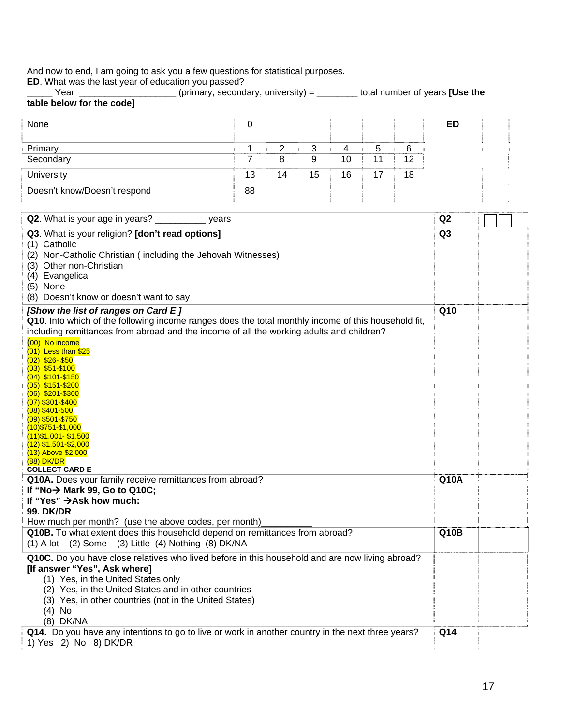And now to end, I am going to ask you a few questions for statistical purposes.

**ED**. What was the last year of education you passed?

\_\_\_\_\_ Year \_\_\_\_\_\_\_\_\_\_\_\_\_\_\_\_\_\_\_ (primary, secondary, university) = \_\_\_\_\_\_\_\_ total number of years **[Use the table below for the code]**

| None                         | U  |    |        |    |    |    | ED |  |
|------------------------------|----|----|--------|----|----|----|----|--|
|                              |    |    | 2<br>ີ |    | b  | 6  |    |  |
| Primary<br>Secondary         |    |    | 9      | 10 |    | 12 |    |  |
| University                   | 13 | 14 | 15     | 16 | 17 | 18 |    |  |
| Doesn't know/Doesn't respond | 88 |    |        |    |    |    |    |  |

| Q2. What is your age in years? ______________ years                                                                                                                                                                                                                                                                                                                                                                                                                                                                                                    | Q2             |  |
|--------------------------------------------------------------------------------------------------------------------------------------------------------------------------------------------------------------------------------------------------------------------------------------------------------------------------------------------------------------------------------------------------------------------------------------------------------------------------------------------------------------------------------------------------------|----------------|--|
| Q3. What is your religion? [don't read options]<br>(1) Catholic<br>(2) Non-Catholic Christian (including the Jehovah Witnesses)<br>(3) Other non-Christian<br>(4) Evangelical<br>$(5)$ None<br>(8) Doesn't know or doesn't want to say                                                                                                                                                                                                                                                                                                                 | Q <sub>3</sub> |  |
| [Show the list of ranges on Card E]                                                                                                                                                                                                                                                                                                                                                                                                                                                                                                                    | Q10            |  |
| Q10. Into which of the following income ranges does the total monthly income of this household fit,<br>including remittances from abroad and the income of all the working adults and children?<br>$(00)$ No income<br>$(01)$ Less than \$25<br>(02) \$26-\$50<br>$(03)$ \$51-\$100<br>(04) \$101-\$150<br>(05) \$151-\$200<br>(06) \$201-\$300<br>(07) \$301-\$400<br>$(08)$ \$401-500<br>(09) \$501-\$750<br>$(10)$ \$751-\$1,000<br>$(11)$ \$1,001 - \$1,500<br>$(12)$ \$1,501-\$2,000<br>(13) Above \$2,000<br>(88) DK/DR<br><b>COLLECT CARD E</b> |                |  |
| Q10A. Does your family receive remittances from abroad?                                                                                                                                                                                                                                                                                                                                                                                                                                                                                                | <b>Q10A</b>    |  |
| If "No $\rightarrow$ Mark 99, Go to Q10C;                                                                                                                                                                                                                                                                                                                                                                                                                                                                                                              |                |  |
| If "Yes" → Ask how much:<br><b>99. DK/DR</b>                                                                                                                                                                                                                                                                                                                                                                                                                                                                                                           |                |  |
| How much per month? (use the above codes, per month)                                                                                                                                                                                                                                                                                                                                                                                                                                                                                                   |                |  |
| Q10B. To what extent does this household depend on remittances from abroad?<br>$(1)$ A lot $(2)$ Some $(3)$ Little $(4)$ Nothing $(8)$ DK/NA                                                                                                                                                                                                                                                                                                                                                                                                           | Q10B           |  |
| Q10C. Do you have close relatives who lived before in this household and are now living abroad?<br>[If answer "Yes", Ask where]<br>(1) Yes, in the United States only<br>(2) Yes, in the United States and in other countries<br>(3) Yes, in other countries (not in the United States)<br>$(4)$ No<br>(8) DK/NA                                                                                                                                                                                                                                       |                |  |
| Q14. Do you have any intentions to go to live or work in another country in the next three years?<br>1) Yes 2) No 8) DK/DR                                                                                                                                                                                                                                                                                                                                                                                                                             | Q14            |  |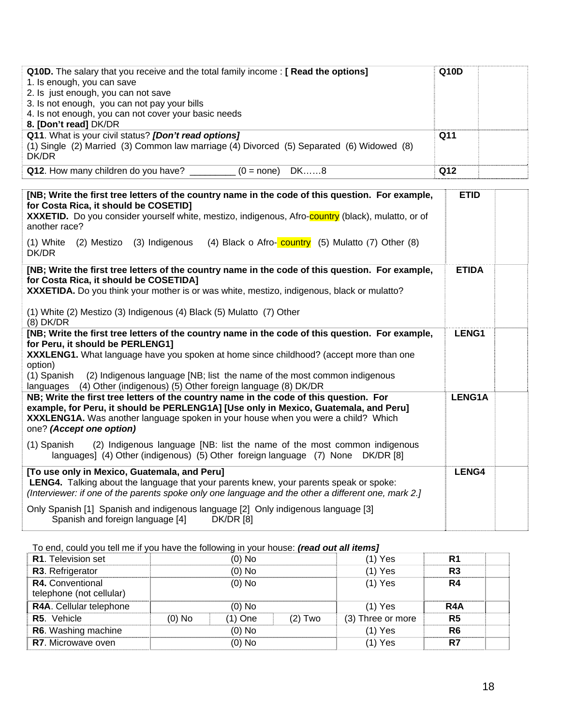| <b>Q10D.</b> The salary that you receive and the total family income: [ Read the options]<br>1. Is enough, you can save<br>2. Is just enough, you can not save<br>3. Is not enough, you can not pay your bills<br>4. Is not enough, you can not cover your basic needs<br>8. [Don't read] DK/DR | Q10D |  |
|-------------------------------------------------------------------------------------------------------------------------------------------------------------------------------------------------------------------------------------------------------------------------------------------------|------|--|
| Q11. What is your civil status? [Don't read options]<br>(1) Single (2) Married (3) Common law marriage (4) Divorced (5) Separated (6) Widowed (8)<br>DK/DR                                                                                                                                      | Q11  |  |
| Q12. How many children do you have? ____<br>$(0 = none)$ DK8                                                                                                                                                                                                                                    | Q12  |  |

| <b>ETID</b>   |       |
|---------------|-------|
|               |       |
| <b>ETIDA</b>  |       |
| LENG1         |       |
| <b>LENG1A</b> |       |
|               |       |
|               |       |
|               | LENG4 |

To end, could you tell me if you have the following in your house: *(read out all items]*

| io ona, oodid you ton mo in you have the following in your house. <b>[roug out an home]</b> |          |           |           |                   |                  |  |
|---------------------------------------------------------------------------------------------|----------|-----------|-----------|-------------------|------------------|--|
| <b>R1.</b> Television set                                                                   |          | (0) No    |           | $(1)$ Yes         | R <sub>1</sub>   |  |
| R3. Refrigerator                                                                            | $(0)$ No |           |           | $(1)$ Yes         | R <sub>3</sub>   |  |
| <b>R4.</b> Conventional<br>telephone (not cellular)                                         | $(0)$ No |           |           | $(1)$ Yes         | R4               |  |
| R4A. Cellular telephone                                                                     |          | $(0)$ No  |           | $(1)$ Yes         | R <sub>4</sub> A |  |
| R5. Vehicle                                                                                 | (0) No   | $(1)$ One | $(2)$ Two | (3) Three or more | R <sub>5</sub>   |  |
| R6. Washing machine                                                                         |          | $(0)$ No  |           | $(1)$ Yes         | R <sub>6</sub>   |  |
| <b>R7.</b> Microwave oven                                                                   |          | (0) No    |           | $(1)$ Yes         | R7               |  |
|                                                                                             |          |           |           |                   |                  |  |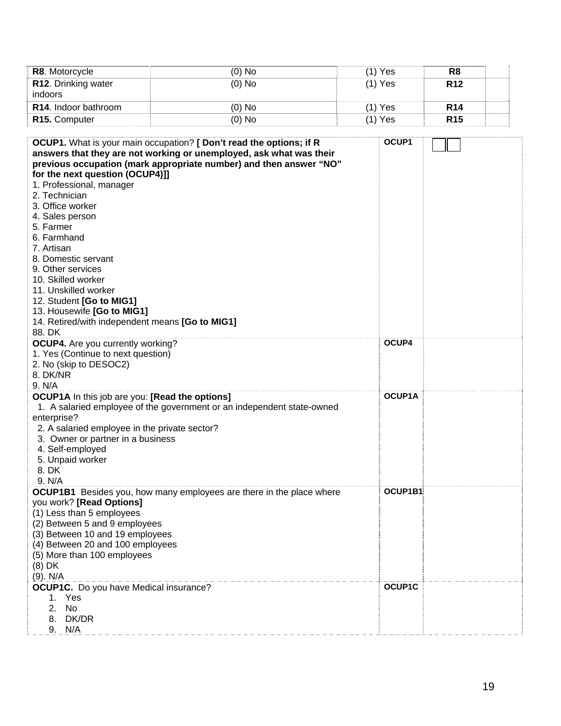| R8. Motorcycle                                             | $(0)$ No                                                                    | $(1)$ Yes | R <sub>8</sub>  |  |
|------------------------------------------------------------|-----------------------------------------------------------------------------|-----------|-----------------|--|
| R12. Drinking water                                        | $(0)$ No                                                                    | $(1)$ Yes | R <sub>12</sub> |  |
| indoors                                                    |                                                                             |           |                 |  |
| R14. Indoor bathroom                                       | $(0)$ No                                                                    | $(1)$ Yes | <b>R14</b>      |  |
| R15. Computer                                              | $(0)$ No                                                                    | $(1)$ Yes | R <sub>15</sub> |  |
|                                                            |                                                                             |           |                 |  |
|                                                            | OCUP1. What is your main occupation? [ Don't read the options; if R         | OCUP1     |                 |  |
|                                                            | answers that they are not working or unemployed, ask what was their         |           |                 |  |
|                                                            | previous occupation (mark appropriate number) and then answer "NO"          |           |                 |  |
| for the next question (OCUP4)]]                            |                                                                             |           |                 |  |
| 1. Professional, manager<br>2. Technician                  |                                                                             |           |                 |  |
| 3. Office worker                                           |                                                                             |           |                 |  |
| 4. Sales person                                            |                                                                             |           |                 |  |
| 5. Farmer                                                  |                                                                             |           |                 |  |
| 6. Farmhand                                                |                                                                             |           |                 |  |
| 7. Artisan                                                 |                                                                             |           |                 |  |
| 8. Domestic servant                                        |                                                                             |           |                 |  |
| 9. Other services                                          |                                                                             |           |                 |  |
| 10. Skilled worker                                         |                                                                             |           |                 |  |
| 11. Unskilled worker                                       |                                                                             |           |                 |  |
| 12. Student [Go to MIG1]<br>13. Housewife [Go to MIG1]     |                                                                             |           |                 |  |
| 14. Retired/with independent means [Go to MIG1]            |                                                                             |           |                 |  |
| 88. DK                                                     |                                                                             |           |                 |  |
| <b>OCUP4.</b> Are you currently working?                   |                                                                             | OCUP4     |                 |  |
| 1. Yes (Continue to next question)                         |                                                                             |           |                 |  |
| 2. No (skip to DESOC2)                                     |                                                                             |           |                 |  |
| 8. DK/NR                                                   |                                                                             |           |                 |  |
| 9. N/A                                                     |                                                                             |           |                 |  |
| <b>OCUP1A</b> In this job are you: [Read the options]      |                                                                             | OCUP1A    |                 |  |
| enterprise?                                                | 1. A salaried employee of the government or an independent state-owned      |           |                 |  |
| 2. A salaried employee in the private sector?              |                                                                             |           |                 |  |
| 3. Owner or partner in a business                          |                                                                             |           |                 |  |
| 4. Self-employed                                           |                                                                             |           |                 |  |
| 5. Unpaid worker                                           |                                                                             |           |                 |  |
| 8. DK                                                      |                                                                             |           |                 |  |
| 9. N/A                                                     |                                                                             |           |                 |  |
|                                                            | <b>OCUP1B1</b> Besides you, how many employees are there in the place where | OCUP1B1   |                 |  |
| you work? [Read Options]                                   |                                                                             |           |                 |  |
| (1) Less than 5 employees<br>(2) Between 5 and 9 employees |                                                                             |           |                 |  |
| (3) Between 10 and 19 employees                            |                                                                             |           |                 |  |
| (4) Between 20 and 100 employees                           |                                                                             |           |                 |  |
| (5) More than 100 employees                                |                                                                             |           |                 |  |
| $(8)$ DK                                                   |                                                                             |           |                 |  |
| $(9)$ . N/A                                                |                                                                             |           |                 |  |
| <b>OCUP1C.</b> Do you have Medical insurance?              |                                                                             | OCUP1C    |                 |  |
| Yes<br>1.                                                  |                                                                             |           |                 |  |
| 2.<br>No                                                   |                                                                             |           |                 |  |
| DK/DR<br>8.<br>9.<br>N/A                                   |                                                                             |           |                 |  |
|                                                            |                                                                             |           |                 |  |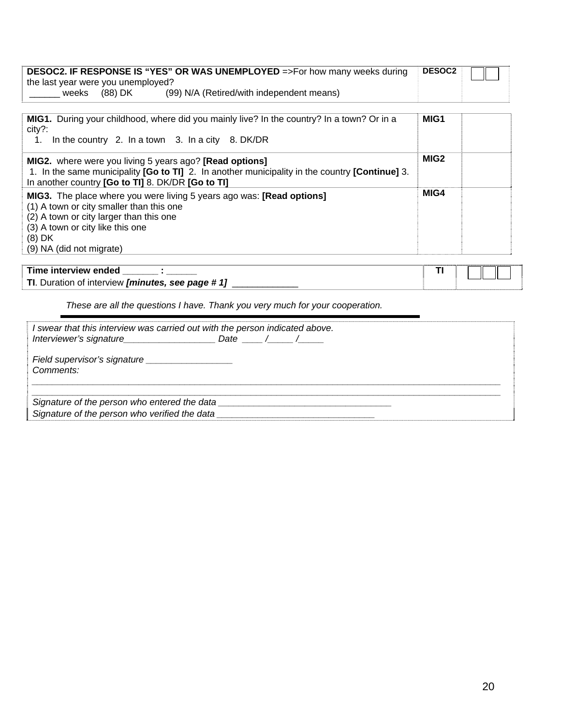|                                    |         | <b>DESOC2. IF RESPONSE IS "YES" OR WAS UNEMPLOYED</b> =>For how many weeks during | <b>DESOC2</b> |  |
|------------------------------------|---------|-----------------------------------------------------------------------------------|---------------|--|
| the last year were you unemployed? |         |                                                                                   |               |  |
| weeks                              | (88) DK | (99) N/A (Retired/with independent means)                                         |               |  |

| <b>MIG1.</b> During your childhood, where did you mainly live? In the country? In a town? Or in a<br>city?:<br>In the country 2. In a town 3. In a city 8. DK/DR<br>1.                                                                                 | MIG1             |  |
|--------------------------------------------------------------------------------------------------------------------------------------------------------------------------------------------------------------------------------------------------------|------------------|--|
| <b>MIG2.</b> where were you living 5 years ago? <b>[Read options]</b><br>1. In the same municipality [Go to TI] 2. In another municipality in the country [Continue] 3.<br>In another country [Go to TI] 8. DK/DR [Go to TI]                           | MIG <sub>2</sub> |  |
| <b>MIG3.</b> The place where you were living 5 years ago was: <b>[Read options]</b><br>(1) A town or city smaller than this one<br>(2) A town or city larger than this one<br>(3) A town or city like this one<br>$(8)$ DK<br>(9) NA (did not migrate) | MIG4             |  |

| Time interview ended                                |  |  |  |
|-----------------------------------------------------|--|--|--|
| TI.<br>Duration of interview [minutes, see page #1] |  |  |  |

*These are all the questions I have. Thank you very much for your cooperation.* 

| I swear that this interview was carried out with the person indicated above. |  |
|------------------------------------------------------------------------------|--|
| Comments:                                                                    |  |
| Signature of the person who entered the data                                 |  |
| Signature of the person who verified the data                                |  |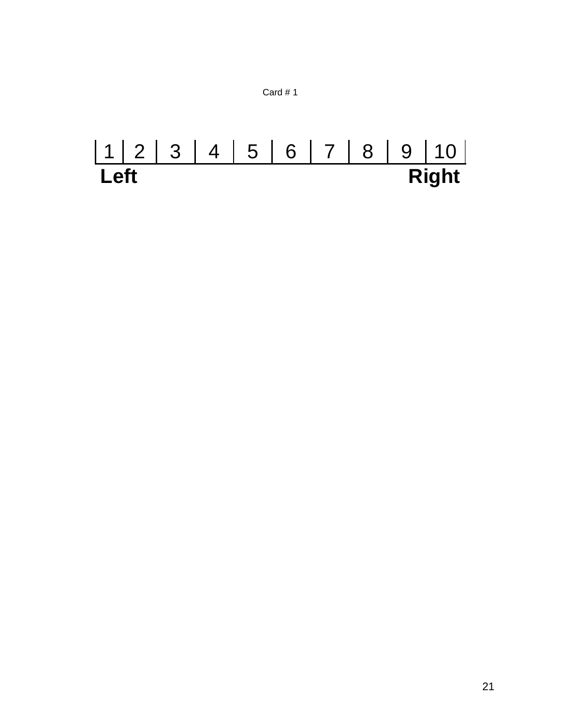

# 1 2 3 4 5 6 7 8 9 10 Left Right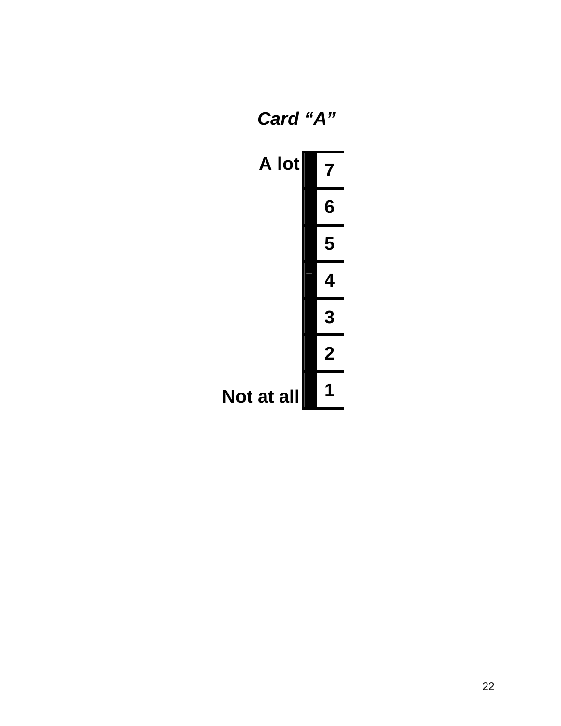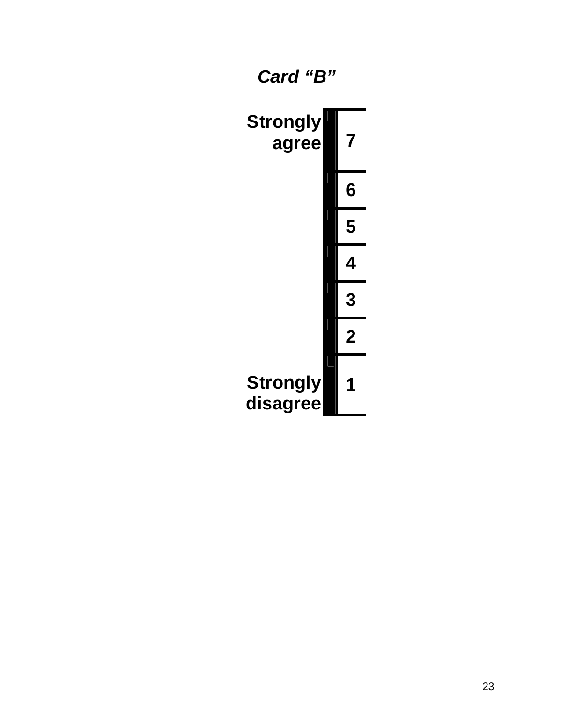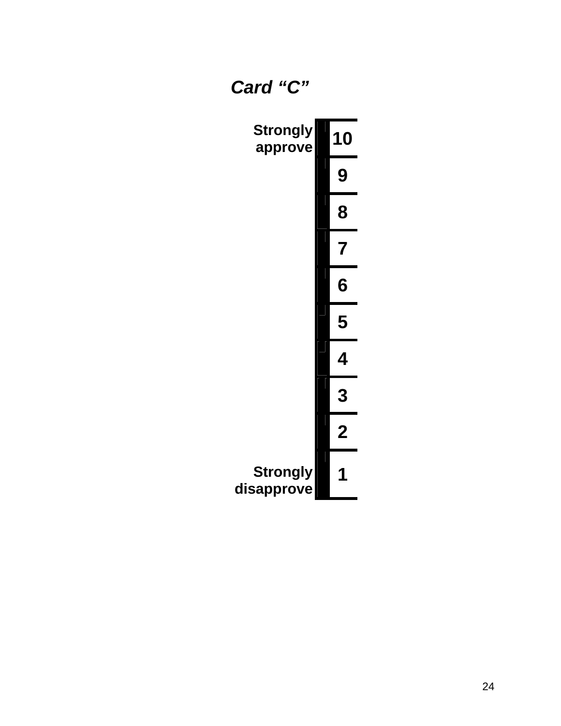